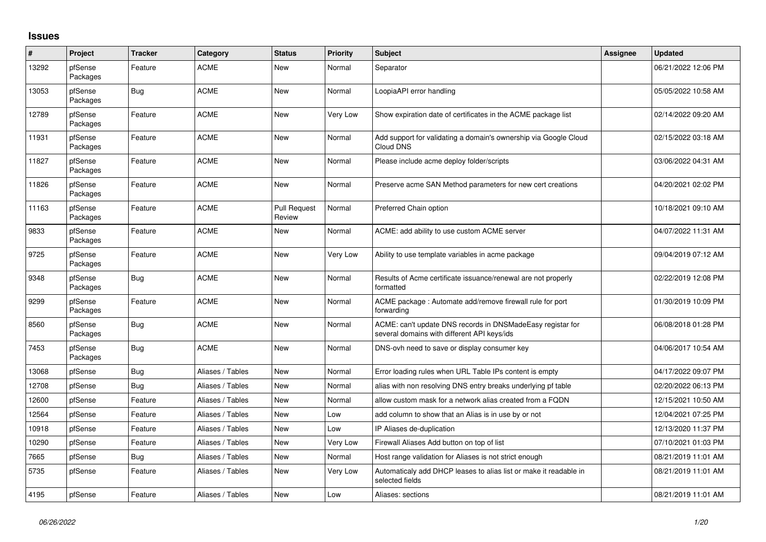## **Issues**

| $\sharp$ | Project             | <b>Tracker</b> | Category         | <b>Status</b>                 | <b>Priority</b> | <b>Subject</b>                                                                                            | Assignee | <b>Updated</b>      |
|----------|---------------------|----------------|------------------|-------------------------------|-----------------|-----------------------------------------------------------------------------------------------------------|----------|---------------------|
| 13292    | pfSense<br>Packages | Feature        | <b>ACME</b>      | New                           | Normal          | Separator                                                                                                 |          | 06/21/2022 12:06 PM |
| 13053    | pfSense<br>Packages | Bug            | <b>ACME</b>      | <b>New</b>                    | Normal          | LoopiaAPI error handling                                                                                  |          | 05/05/2022 10:58 AM |
| 12789    | pfSense<br>Packages | Feature        | <b>ACME</b>      | New                           | Very Low        | Show expiration date of certificates in the ACME package list                                             |          | 02/14/2022 09:20 AM |
| 11931    | pfSense<br>Packages | Feature        | <b>ACME</b>      | <b>New</b>                    | Normal          | Add support for validating a domain's ownership via Google Cloud<br>Cloud DNS                             |          | 02/15/2022 03:18 AM |
| 11827    | pfSense<br>Packages | Feature        | <b>ACME</b>      | <b>New</b>                    | Normal          | Please include acme deploy folder/scripts                                                                 |          | 03/06/2022 04:31 AM |
| 11826    | pfSense<br>Packages | Feature        | <b>ACME</b>      | <b>New</b>                    | Normal          | Preserve acme SAN Method parameters for new cert creations                                                |          | 04/20/2021 02:02 PM |
| 11163    | pfSense<br>Packages | Feature        | <b>ACME</b>      | <b>Pull Request</b><br>Review | Normal          | Preferred Chain option                                                                                    |          | 10/18/2021 09:10 AM |
| 9833     | pfSense<br>Packages | Feature        | <b>ACME</b>      | <b>New</b>                    | Normal          | ACME: add ability to use custom ACME server                                                               |          | 04/07/2022 11:31 AM |
| 9725     | pfSense<br>Packages | Feature        | <b>ACME</b>      | <b>New</b>                    | Very Low        | Ability to use template variables in acme package                                                         |          | 09/04/2019 07:12 AM |
| 9348     | pfSense<br>Packages | <b>Bug</b>     | <b>ACME</b>      | <b>New</b>                    | Normal          | Results of Acme certificate issuance/renewal are not properly<br>formatted                                |          | 02/22/2019 12:08 PM |
| 9299     | pfSense<br>Packages | Feature        | <b>ACME</b>      | <b>New</b>                    | Normal          | ACME package : Automate add/remove firewall rule for port<br>forwarding                                   |          | 01/30/2019 10:09 PM |
| 8560     | pfSense<br>Packages | Bug            | <b>ACME</b>      | <b>New</b>                    | Normal          | ACME: can't update DNS records in DNSMadeEasy registar for<br>several domains with different API keys/ids |          | 06/08/2018 01:28 PM |
| 7453     | pfSense<br>Packages | <b>Bug</b>     | <b>ACME</b>      | <b>New</b>                    | Normal          | DNS-ovh need to save or display consumer key                                                              |          | 04/06/2017 10:54 AM |
| 13068    | pfSense             | <b>Bug</b>     | Aliases / Tables | <b>New</b>                    | Normal          | Error loading rules when URL Table IPs content is empty                                                   |          | 04/17/2022 09:07 PM |
| 12708    | pfSense             | Bug            | Aliases / Tables | New                           | Normal          | alias with non resolving DNS entry breaks underlying pf table                                             |          | 02/20/2022 06:13 PM |
| 12600    | pfSense             | Feature        | Aliases / Tables | <b>New</b>                    | Normal          | allow custom mask for a network alias created from a FQDN                                                 |          | 12/15/2021 10:50 AM |
| 12564    | pfSense             | Feature        | Aliases / Tables | <b>New</b>                    | Low             | add column to show that an Alias is in use by or not                                                      |          | 12/04/2021 07:25 PM |
| 10918    | pfSense             | Feature        | Aliases / Tables | New                           | Low             | IP Aliases de-duplication                                                                                 |          | 12/13/2020 11:37 PM |
| 10290    | pfSense             | Feature        | Aliases / Tables | <b>New</b>                    | Very Low        | Firewall Aliases Add button on top of list                                                                |          | 07/10/2021 01:03 PM |
| 7665     | pfSense             | Bug            | Aliases / Tables | New                           | Normal          | Host range validation for Aliases is not strict enough                                                    |          | 08/21/2019 11:01 AM |
| 5735     | pfSense             | Feature        | Aliases / Tables | New                           | Very Low        | Automaticaly add DHCP leases to alias list or make it readable in<br>selected fields                      |          | 08/21/2019 11:01 AM |
| 4195     | pfSense             | Feature        | Aliases / Tables | <b>New</b>                    | Low             | Aliases: sections                                                                                         |          | 08/21/2019 11:01 AM |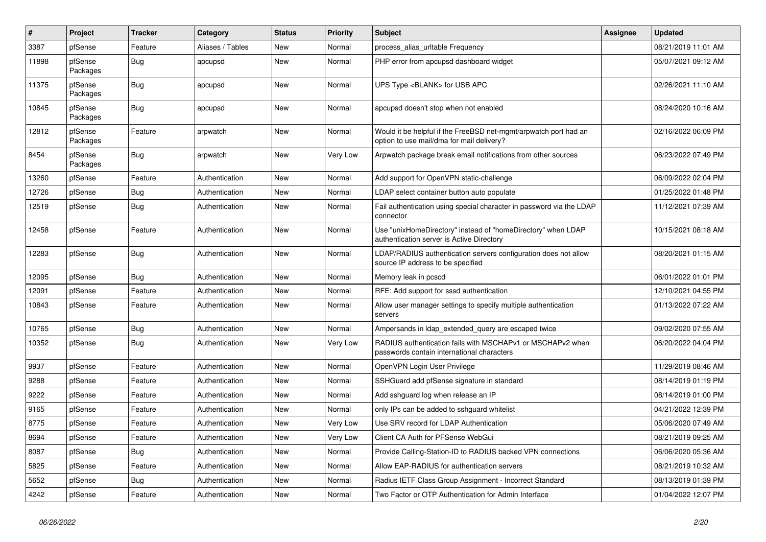| $\vert$ # | Project             | <b>Tracker</b> | Category         | <b>Status</b> | <b>Priority</b> | <b>Subject</b>                                                                                                | Assignee | <b>Updated</b>      |
|-----------|---------------------|----------------|------------------|---------------|-----------------|---------------------------------------------------------------------------------------------------------------|----------|---------------------|
| 3387      | pfSense             | Feature        | Aliases / Tables | New           | Normal          | process alias urltable Frequency                                                                              |          | 08/21/2019 11:01 AM |
| 11898     | pfSense<br>Packages | Bug            | apcupsd          | New           | Normal          | PHP error from apcupsd dashboard widget                                                                       |          | 05/07/2021 09:12 AM |
| 11375     | pfSense<br>Packages | <b>Bug</b>     | apcupsd          | New           | Normal          | UPS Type <blank> for USB APC</blank>                                                                          |          | 02/26/2021 11:10 AM |
| 10845     | pfSense<br>Packages | <b>Bug</b>     | apcupsd          | <b>New</b>    | Normal          | apcupsd doesn't stop when not enabled                                                                         |          | 08/24/2020 10:16 AM |
| 12812     | pfSense<br>Packages | Feature        | arpwatch         | New           | Normal          | Would it be helpful if the FreeBSD net-mgmt/arpwatch port had an<br>option to use mail/dma for mail delivery? |          | 02/16/2022 06:09 PM |
| 8454      | pfSense<br>Packages | Bug            | arpwatch         | New           | Very Low        | Arpwatch package break email notifications from other sources                                                 |          | 06/23/2022 07:49 PM |
| 13260     | pfSense             | Feature        | Authentication   | <b>New</b>    | Normal          | Add support for OpenVPN static-challenge                                                                      |          | 06/09/2022 02:04 PM |
| 12726     | pfSense             | <b>Bug</b>     | Authentication   | New           | Normal          | LDAP select container button auto populate                                                                    |          | 01/25/2022 01:48 PM |
| 12519     | pfSense             | Bug            | Authentication   | <b>New</b>    | Normal          | Fail authentication using special character in password via the LDAP<br>connector                             |          | 11/12/2021 07:39 AM |
| 12458     | pfSense             | Feature        | Authentication   | <b>New</b>    | Normal          | Use "unixHomeDirectory" instead of "homeDirectory" when LDAP<br>authentication server is Active Directory     |          | 10/15/2021 08:18 AM |
| 12283     | pfSense             | Bug            | Authentication   | New           | Normal          | LDAP/RADIUS authentication servers configuration does not allow<br>source IP address to be specified          |          | 08/20/2021 01:15 AM |
| 12095     | pfSense             | <b>Bug</b>     | Authentication   | <b>New</b>    | Normal          | Memory leak in pcscd                                                                                          |          | 06/01/2022 01:01 PM |
| 12091     | pfSense             | Feature        | Authentication   | New           | Normal          | RFE: Add support for sssd authentication                                                                      |          | 12/10/2021 04:55 PM |
| 10843     | pfSense             | Feature        | Authentication   | New           | Normal          | Allow user manager settings to specify multiple authentication<br>servers                                     |          | 01/13/2022 07:22 AM |
| 10765     | pfSense             | <b>Bug</b>     | Authentication   | <b>New</b>    | Normal          | Ampersands in Idap_extended_query are escaped twice                                                           |          | 09/02/2020 07:55 AM |
| 10352     | pfSense             | Bug            | Authentication   | New           | Very Low        | RADIUS authentication fails with MSCHAPv1 or MSCHAPv2 when<br>passwords contain international characters      |          | 06/20/2022 04:04 PM |
| 9937      | pfSense             | Feature        | Authentication   | <b>New</b>    | Normal          | OpenVPN Login User Privilege                                                                                  |          | 11/29/2019 08:46 AM |
| 9288      | pfSense             | Feature        | Authentication   | New           | Normal          | SSHGuard add pfSense signature in standard                                                                    |          | 08/14/2019 01:19 PM |
| 9222      | pfSense             | Feature        | Authentication   | New           | Normal          | Add sshguard log when release an IP                                                                           |          | 08/14/2019 01:00 PM |
| 9165      | pfSense             | Feature        | Authentication   | New           | Normal          | only IPs can be added to sshguard whitelist                                                                   |          | 04/21/2022 12:39 PM |
| 8775      | pfSense             | Feature        | Authentication   | New           | Very Low        | Use SRV record for LDAP Authentication                                                                        |          | 05/06/2020 07:49 AM |
| 8694      | pfSense             | Feature        | Authentication   | New           | Very Low        | Client CA Auth for PFSense WebGui                                                                             |          | 08/21/2019 09:25 AM |
| 8087      | pfSense             | Bug            | Authentication   | New           | Normal          | Provide Calling-Station-ID to RADIUS backed VPN connections                                                   |          | 06/06/2020 05:36 AM |
| 5825      | pfSense             | Feature        | Authentication   | New           | Normal          | Allow EAP-RADIUS for authentication servers                                                                   |          | 08/21/2019 10:32 AM |
| 5652      | pfSense             | <b>Bug</b>     | Authentication   | New           | Normal          | Radius IETF Class Group Assignment - Incorrect Standard                                                       |          | 08/13/2019 01:39 PM |
| 4242      | pfSense             | Feature        | Authentication   | New           | Normal          | Two Factor or OTP Authentication for Admin Interface                                                          |          | 01/04/2022 12:07 PM |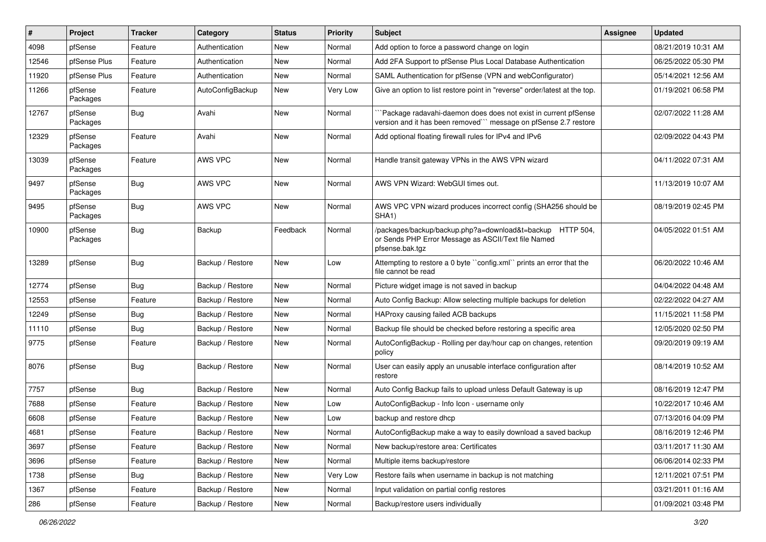| #     | Project             | Tracker    | Category         | <b>Status</b> | <b>Priority</b> | Subject                                                                                                                             | <b>Assignee</b> | Updated             |
|-------|---------------------|------------|------------------|---------------|-----------------|-------------------------------------------------------------------------------------------------------------------------------------|-----------------|---------------------|
| 4098  | pfSense             | Feature    | Authentication   | New           | Normal          | Add option to force a password change on login                                                                                      |                 | 08/21/2019 10:31 AM |
| 12546 | pfSense Plus        | Feature    | Authentication   | New           | Normal          | Add 2FA Support to pfSense Plus Local Database Authentication                                                                       |                 | 06/25/2022 05:30 PM |
| 11920 | pfSense Plus        | Feature    | Authentication   | New           | Normal          | SAML Authentication for pfSense (VPN and webConfigurator)                                                                           |                 | 05/14/2021 12:56 AM |
| 11266 | pfSense<br>Packages | Feature    | AutoConfigBackup | New           | Very Low        | Give an option to list restore point in "reverse" order/latest at the top.                                                          |                 | 01/19/2021 06:58 PM |
| 12767 | pfSense<br>Packages | Bug        | Avahi            | New           | Normal          | Package radavahi-daemon does does not exist in current pfSense<br>version and it has been removed`` message on pfSense 2.7 restore  |                 | 02/07/2022 11:28 AM |
| 12329 | pfSense<br>Packages | Feature    | Avahi            | New           | Normal          | Add optional floating firewall rules for IPv4 and IPv6                                                                              |                 | 02/09/2022 04:43 PM |
| 13039 | pfSense<br>Packages | Feature    | AWS VPC          | New           | Normal          | Handle transit gateway VPNs in the AWS VPN wizard                                                                                   |                 | 04/11/2022 07:31 AM |
| 9497  | pfSense<br>Packages | Bug        | AWS VPC          | New           | Normal          | AWS VPN Wizard: WebGUI times out.                                                                                                   |                 | 11/13/2019 10:07 AM |
| 9495  | pfSense<br>Packages | Bug        | AWS VPC          | New           | Normal          | AWS VPC VPN wizard produces incorrect config (SHA256 should be<br>SHA1)                                                             |                 | 08/19/2019 02:45 PM |
| 10900 | pfSense<br>Packages | Bug        | Backup           | Feedback      | Normal          | /packages/backup/backup.php?a=download&t=backup HTTP 504,<br>or Sends PHP Error Message as ASCII/Text file Named<br>pfsense.bak.tgz |                 | 04/05/2022 01:51 AM |
| 13289 | pfSense             | Bug        | Backup / Restore | New           | Low             | Attempting to restore a 0 byte "config.xml" prints an error that the<br>file cannot be read                                         |                 | 06/20/2022 10:46 AM |
| 12774 | pfSense             | <b>Bug</b> | Backup / Restore | New           | Normal          | Picture widget image is not saved in backup                                                                                         |                 | 04/04/2022 04:48 AM |
| 12553 | pfSense             | Feature    | Backup / Restore | New           | Normal          | Auto Config Backup: Allow selecting multiple backups for deletion                                                                   |                 | 02/22/2022 04:27 AM |
| 12249 | pfSense             | <b>Bug</b> | Backup / Restore | New           | Normal          | HAProxy causing failed ACB backups                                                                                                  |                 | 11/15/2021 11:58 PM |
| 11110 | pfSense             | Bug        | Backup / Restore | New           | Normal          | Backup file should be checked before restoring a specific area                                                                      |                 | 12/05/2020 02:50 PM |
| 9775  | pfSense             | Feature    | Backup / Restore | New           | Normal          | AutoConfigBackup - Rolling per day/hour cap on changes, retention<br>policy                                                         |                 | 09/20/2019 09:19 AM |
| 8076  | pfSense             | Bug        | Backup / Restore | New           | Normal          | User can easily apply an unusable interface configuration after<br>restore                                                          |                 | 08/14/2019 10:52 AM |
| 7757  | pfSense             | Bug        | Backup / Restore | New           | Normal          | Auto Config Backup fails to upload unless Default Gateway is up                                                                     |                 | 08/16/2019 12:47 PM |
| 7688  | pfSense             | Feature    | Backup / Restore | New           | Low             | AutoConfigBackup - Info Icon - username only                                                                                        |                 | 10/22/2017 10:46 AM |
| 6608  | pfSense             | Feature    | Backup / Restore | New           | LOW             | backup and restore dhcp                                                                                                             |                 | 07/13/2016 04:09 PM |
| 4681  | pfSense             | Feature    | Backup / Restore | New           | Normal          | AutoConfigBackup make a way to easily download a saved backup                                                                       |                 | 08/16/2019 12:46 PM |
| 3697  | pfSense             | Feature    | Backup / Restore | New           | Normal          | New backup/restore area: Certificates                                                                                               |                 | 03/11/2017 11:30 AM |
| 3696  | pfSense             | Feature    | Backup / Restore | New           | Normal          | Multiple items backup/restore                                                                                                       |                 | 06/06/2014 02:33 PM |
| 1738  | pfSense             | Bug        | Backup / Restore | New           | Very Low        | Restore fails when username in backup is not matching                                                                               |                 | 12/11/2021 07:51 PM |
| 1367  | pfSense             | Feature    | Backup / Restore | New           | Normal          | Input validation on partial config restores                                                                                         |                 | 03/21/2011 01:16 AM |
| 286   | pfSense             | Feature    | Backup / Restore | New           | Normal          | Backup/restore users individually                                                                                                   |                 | 01/09/2021 03:48 PM |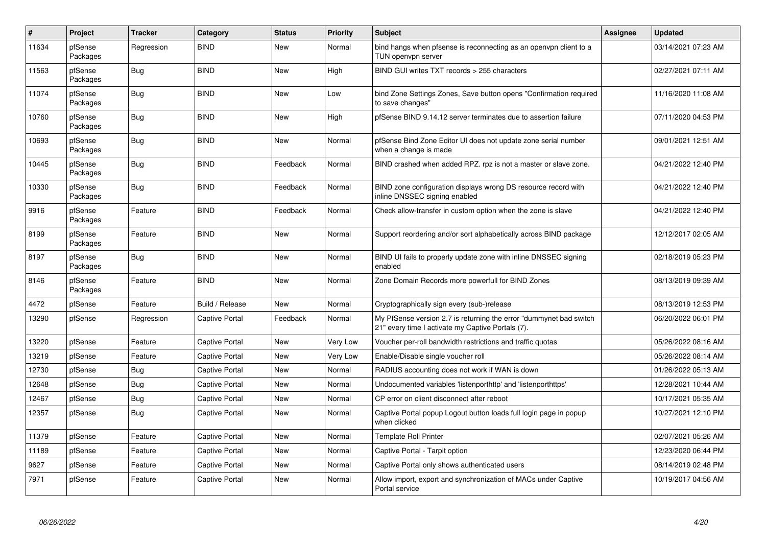| $\vert$ # | Project             | <b>Tracker</b> | Category              | <b>Status</b> | <b>Priority</b> | <b>Subject</b>                                                                                                          | Assignee | <b>Updated</b>      |
|-----------|---------------------|----------------|-----------------------|---------------|-----------------|-------------------------------------------------------------------------------------------------------------------------|----------|---------------------|
| 11634     | pfSense<br>Packages | Regression     | <b>BIND</b>           | <b>New</b>    | Normal          | bind hangs when pfsense is reconnecting as an openypn client to a<br>TUN openvpn server                                 |          | 03/14/2021 07:23 AM |
| 11563     | pfSense<br>Packages | Bug            | <b>BIND</b>           | New           | High            | BIND GUI writes TXT records > 255 characters                                                                            |          | 02/27/2021 07:11 AM |
| 11074     | pfSense<br>Packages | Bug            | <b>BIND</b>           | <b>New</b>    | Low             | bind Zone Settings Zones, Save button opens "Confirmation required<br>to save changes"                                  |          | 11/16/2020 11:08 AM |
| 10760     | pfSense<br>Packages | Bug            | <b>BIND</b>           | <b>New</b>    | High            | pfSense BIND 9.14.12 server terminates due to assertion failure                                                         |          | 07/11/2020 04:53 PM |
| 10693     | pfSense<br>Packages | <b>Bug</b>     | <b>BIND</b>           | <b>New</b>    | Normal          | pfSense Bind Zone Editor UI does not update zone serial number<br>when a change is made                                 |          | 09/01/2021 12:51 AM |
| 10445     | pfSense<br>Packages | <b>Bug</b>     | <b>BIND</b>           | Feedback      | Normal          | BIND crashed when added RPZ. rpz is not a master or slave zone.                                                         |          | 04/21/2022 12:40 PM |
| 10330     | pfSense<br>Packages | <b>Bug</b>     | <b>BIND</b>           | Feedback      | Normal          | BIND zone configuration displays wrong DS resource record with<br>inline DNSSEC signing enabled                         |          | 04/21/2022 12:40 PM |
| 9916      | pfSense<br>Packages | Feature        | <b>BIND</b>           | Feedback      | Normal          | Check allow-transfer in custom option when the zone is slave                                                            |          | 04/21/2022 12:40 PM |
| 8199      | pfSense<br>Packages | Feature        | <b>BIND</b>           | <b>New</b>    | Normal          | Support reordering and/or sort alphabetically across BIND package                                                       |          | 12/12/2017 02:05 AM |
| 8197      | pfSense<br>Packages | <b>Bug</b>     | <b>BIND</b>           | <b>New</b>    | Normal          | BIND UI fails to properly update zone with inline DNSSEC signing<br>enabled                                             |          | 02/18/2019 05:23 PM |
| 8146      | pfSense<br>Packages | Feature        | <b>BIND</b>           | <b>New</b>    | Normal          | Zone Domain Records more powerfull for BIND Zones                                                                       |          | 08/13/2019 09:39 AM |
| 4472      | pfSense             | Feature        | Build / Release       | <b>New</b>    | Normal          | Cryptographically sign every (sub-)release                                                                              |          | 08/13/2019 12:53 PM |
| 13290     | pfSense             | Regression     | <b>Captive Portal</b> | Feedback      | Normal          | My PfSense version 2.7 is returning the error "dummynet bad switch<br>21" every time I activate my Captive Portals (7). |          | 06/20/2022 06:01 PM |
| 13220     | pfSense             | Feature        | <b>Captive Portal</b> | <b>New</b>    | Very Low        | Voucher per-roll bandwidth restrictions and traffic quotas                                                              |          | 05/26/2022 08:16 AM |
| 13219     | pfSense             | Feature        | Captive Portal        | New           | Very Low        | Enable/Disable single voucher roll                                                                                      |          | 05/26/2022 08:14 AM |
| 12730     | pfSense             | <b>Bug</b>     | <b>Captive Portal</b> | <b>New</b>    | Normal          | RADIUS accounting does not work if WAN is down                                                                          |          | 01/26/2022 05:13 AM |
| 12648     | pfSense             | <b>Bug</b>     | <b>Captive Portal</b> | New           | Normal          | Undocumented variables 'listenporthttp' and 'listenporthttps'                                                           |          | 12/28/2021 10:44 AM |
| 12467     | pfSense             | <b>Bug</b>     | <b>Captive Portal</b> | <b>New</b>    | Normal          | CP error on client disconnect after reboot                                                                              |          | 10/17/2021 05:35 AM |
| 12357     | pfSense             | <b>Bug</b>     | <b>Captive Portal</b> | New           | Normal          | Captive Portal popup Logout button loads full login page in popup<br>when clicked                                       |          | 10/27/2021 12:10 PM |
| 11379     | pfSense             | Feature        | Captive Portal        | <b>New</b>    | Normal          | <b>Template Roll Printer</b>                                                                                            |          | 02/07/2021 05:26 AM |
| 11189     | pfSense             | Feature        | <b>Captive Portal</b> | <b>New</b>    | Normal          | Captive Portal - Tarpit option                                                                                          |          | 12/23/2020 06:44 PM |
| 9627      | pfSense             | Feature        | <b>Captive Portal</b> | <b>New</b>    | Normal          | Captive Portal only shows authenticated users                                                                           |          | 08/14/2019 02:48 PM |
| 7971      | pfSense             | Feature        | <b>Captive Portal</b> | <b>New</b>    | Normal          | Allow import, export and synchronization of MACs under Captive<br>Portal service                                        |          | 10/19/2017 04:56 AM |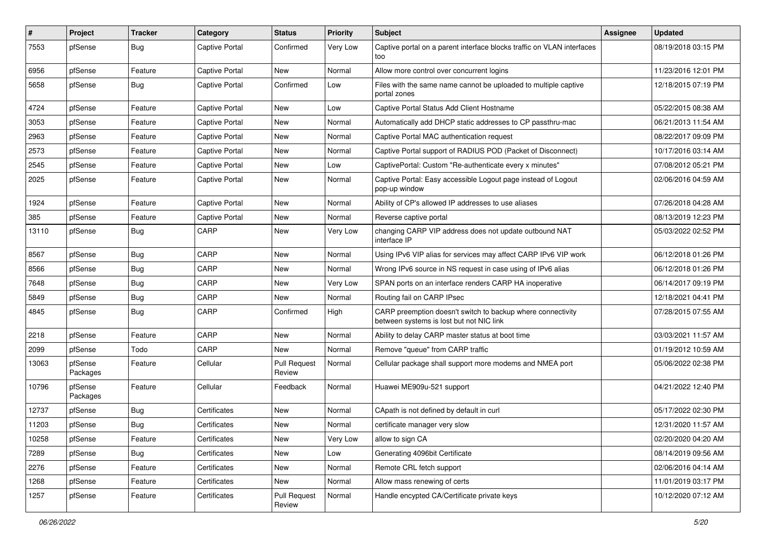| $\pmb{\#}$ | Project             | <b>Tracker</b> | Category              | <b>Status</b>                 | <b>Priority</b> | Subject                                                                                                 | Assignee | <b>Updated</b>      |
|------------|---------------------|----------------|-----------------------|-------------------------------|-----------------|---------------------------------------------------------------------------------------------------------|----------|---------------------|
| 7553       | pfSense             | Bug            | <b>Captive Portal</b> | Confirmed                     | Very Low        | Captive portal on a parent interface blocks traffic on VLAN interfaces<br>too                           |          | 08/19/2018 03:15 PM |
| 6956       | pfSense             | Feature        | <b>Captive Portal</b> | New                           | Normal          | Allow more control over concurrent logins                                                               |          | 11/23/2016 12:01 PM |
| 5658       | pfSense             | Bug            | <b>Captive Portal</b> | Confirmed                     | Low             | Files with the same name cannot be uploaded to multiple captive<br>portal zones                         |          | 12/18/2015 07:19 PM |
| 4724       | pfSense             | Feature        | <b>Captive Portal</b> | New                           | Low             | Captive Portal Status Add Client Hostname                                                               |          | 05/22/2015 08:38 AM |
| 3053       | pfSense             | Feature        | <b>Captive Portal</b> | New                           | Normal          | Automatically add DHCP static addresses to CP passthru-mac                                              |          | 06/21/2013 11:54 AM |
| 2963       | pfSense             | Feature        | <b>Captive Portal</b> | New                           | Normal          | Captive Portal MAC authentication request                                                               |          | 08/22/2017 09:09 PM |
| 2573       | pfSense             | Feature        | <b>Captive Portal</b> | New                           | Normal          | Captive Portal support of RADIUS POD (Packet of Disconnect)                                             |          | 10/17/2016 03:14 AM |
| 2545       | pfSense             | Feature        | <b>Captive Portal</b> | New                           | Low             | CaptivePortal: Custom "Re-authenticate every x minutes"                                                 |          | 07/08/2012 05:21 PM |
| 2025       | pfSense             | Feature        | <b>Captive Portal</b> | New                           | Normal          | Captive Portal: Easy accessible Logout page instead of Logout<br>pop-up window                          |          | 02/06/2016 04:59 AM |
| 1924       | pfSense             | Feature        | <b>Captive Portal</b> | <b>New</b>                    | Normal          | Ability of CP's allowed IP addresses to use aliases                                                     |          | 07/26/2018 04:28 AM |
| 385        | pfSense             | Feature        | <b>Captive Portal</b> | New                           | Normal          | Reverse captive portal                                                                                  |          | 08/13/2019 12:23 PM |
| 13110      | pfSense             | <b>Bug</b>     | CARP                  | New                           | Very Low        | changing CARP VIP address does not update outbound NAT<br>interface IP                                  |          | 05/03/2022 02:52 PM |
| 8567       | pfSense             | Bug            | CARP                  | New                           | Normal          | Using IPv6 VIP alias for services may affect CARP IPv6 VIP work                                         |          | 06/12/2018 01:26 PM |
| 8566       | pfSense             | Bug            | CARP                  | <b>New</b>                    | Normal          | Wrong IPv6 source in NS request in case using of IPv6 alias                                             |          | 06/12/2018 01:26 PM |
| 7648       | pfSense             | Bug            | CARP                  | New                           | Very Low        | SPAN ports on an interface renders CARP HA inoperative                                                  |          | 06/14/2017 09:19 PM |
| 5849       | pfSense             | Bug            | CARP                  | New                           | Normal          | Routing fail on CARP IPsec                                                                              |          | 12/18/2021 04:41 PM |
| 4845       | pfSense             | Bug            | CARP                  | Confirmed                     | High            | CARP preemption doesn't switch to backup where connectivity<br>between systems is lost but not NIC link |          | 07/28/2015 07:55 AM |
| 2218       | pfSense             | Feature        | CARP                  | New                           | Normal          | Ability to delay CARP master status at boot time                                                        |          | 03/03/2021 11:57 AM |
| 2099       | pfSense             | Todo           | CARP                  | New                           | Normal          | Remove "queue" from CARP traffic                                                                        |          | 01/19/2012 10:59 AM |
| 13063      | pfSense<br>Packages | Feature        | Cellular              | <b>Pull Request</b><br>Review | Normal          | Cellular package shall support more modems and NMEA port                                                |          | 05/06/2022 02:38 PM |
| 10796      | pfSense<br>Packages | Feature        | Cellular              | Feedback                      | Normal          | Huawei ME909u-521 support                                                                               |          | 04/21/2022 12:40 PM |
| 12737      | pfSense             | <b>Bug</b>     | Certificates          | <b>New</b>                    | Normal          | CApath is not defined by default in curl                                                                |          | 05/17/2022 02:30 PM |
| 11203      | pfSense             | Bug            | Certificates          | New                           | Normal          | certificate manager very slow                                                                           |          | 12/31/2020 11:57 AM |
| 10258      | pfSense             | Feature        | Certificates          | New                           | Very Low        | allow to sign CA                                                                                        |          | 02/20/2020 04:20 AM |
| 7289       | pfSense             | <b>Bug</b>     | Certificates          | New                           | Low             | Generating 4096bit Certificate                                                                          |          | 08/14/2019 09:56 AM |
| 2276       | pfSense             | Feature        | Certificates          | New                           | Normal          | Remote CRL fetch support                                                                                |          | 02/06/2016 04:14 AM |
| 1268       | pfSense             | Feature        | Certificates          | New                           | Normal          | Allow mass renewing of certs                                                                            |          | 11/01/2019 03:17 PM |
| 1257       | pfSense             | Feature        | Certificates          | <b>Pull Request</b><br>Review | Normal          | Handle encypted CA/Certificate private keys                                                             |          | 10/12/2020 07:12 AM |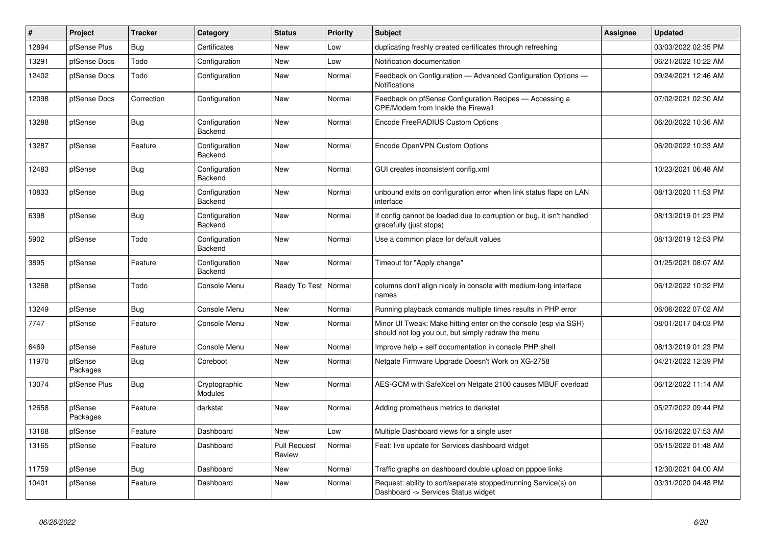| #     | Project             | <b>Tracker</b> | Category                 | <b>Status</b>                 | <b>Priority</b> | <b>Subject</b>                                                                                                        | <b>Assignee</b> | <b>Updated</b>      |
|-------|---------------------|----------------|--------------------------|-------------------------------|-----------------|-----------------------------------------------------------------------------------------------------------------------|-----------------|---------------------|
| 12894 | pfSense Plus        | Bug            | Certificates             | New                           | Low             | duplicating freshly created certificates through refreshing                                                           |                 | 03/03/2022 02:35 PM |
| 13291 | pfSense Docs        | Todo           | Configuration            | New                           | Low             | Notification documentation                                                                                            |                 | 06/21/2022 10:22 AM |
| 12402 | pfSense Docs        | Todo           | Configuration            | New                           | Normal          | Feedback on Configuration - Advanced Configuration Options -<br>Notifications                                         |                 | 09/24/2021 12:46 AM |
| 12098 | pfSense Docs        | Correction     | Configuration            | New                           | Normal          | Feedback on pfSense Configuration Recipes - Accessing a<br><b>CPE/Modem from Inside the Firewall</b>                  |                 | 07/02/2021 02:30 AM |
| 13288 | pfSense             | Bug            | Configuration<br>Backend | <b>New</b>                    | Normal          | Encode FreeRADIUS Custom Options                                                                                      |                 | 06/20/2022 10:36 AM |
| 13287 | pfSense             | Feature        | Configuration<br>Backend | <b>New</b>                    | Normal          | Encode OpenVPN Custom Options                                                                                         |                 | 06/20/2022 10:33 AM |
| 12483 | pfSense             | Bug            | Configuration<br>Backend | <b>New</b>                    | Normal          | GUI creates inconsistent config.xml                                                                                   |                 | 10/23/2021 06:48 AM |
| 10833 | pfSense             | Bug            | Configuration<br>Backend | New                           | Normal          | unbound exits on configuration error when link status flaps on LAN<br>interface                                       |                 | 08/13/2020 11:53 PM |
| 6398  | pfSense             | <b>Bug</b>     | Configuration<br>Backend | New                           | Normal          | If config cannot be loaded due to corruption or bug, it isn't handled<br>gracefully (just stops)                      |                 | 08/13/2019 01:23 PM |
| 5902  | pfSense             | Todo           | Configuration<br>Backend | <b>New</b>                    | Normal          | Use a common place for default values                                                                                 |                 | 08/13/2019 12:53 PM |
| 3895  | pfSense             | Feature        | Configuration<br>Backend | New                           | Normal          | Timeout for "Apply change"                                                                                            |                 | 01/25/2021 08:07 AM |
| 13268 | pfSense             | Todo           | Console Menu             | Ready To Test                 | Normal          | columns don't align nicely in console with medium-long interface<br>names                                             |                 | 06/12/2022 10:32 PM |
| 13249 | pfSense             | <b>Bug</b>     | Console Menu             | <b>New</b>                    | Normal          | Running playback comands multiple times results in PHP error                                                          |                 | 06/06/2022 07:02 AM |
| 7747  | pfSense             | Feature        | Console Menu             | New                           | Normal          | Minor UI Tweak: Make hitting enter on the console (esp via SSH)<br>should not log you out, but simply redraw the menu |                 | 08/01/2017 04:03 PM |
| 6469  | pfSense             | Feature        | Console Menu             | <b>New</b>                    | Normal          | Improve help + self documentation in console PHP shell                                                                |                 | 08/13/2019 01:23 PM |
| 11970 | pfSense<br>Packages | Bug            | Coreboot                 | New                           | Normal          | Netgate Firmware Upgrade Doesn't Work on XG-2758                                                                      |                 | 04/21/2022 12:39 PM |
| 13074 | pfSense Plus        | Bug            | Cryptographic<br>Modules | <b>New</b>                    | Normal          | AES-GCM with SafeXcel on Netgate 2100 causes MBUF overload                                                            |                 | 06/12/2022 11:14 AM |
| 12658 | pfSense<br>Packages | Feature        | darkstat                 | <b>New</b>                    | Normal          | Adding prometheus metrics to darkstat                                                                                 |                 | 05/27/2022 09:44 PM |
| 13168 | pfSense             | Feature        | Dashboard                | <b>New</b>                    | Low             | Multiple Dashboard views for a single user                                                                            |                 | 05/16/2022 07:53 AM |
| 13165 | pfSense             | Feature        | Dashboard                | <b>Pull Request</b><br>Review | Normal          | Feat: live update for Services dashboard widget                                                                       |                 | 05/15/2022 01:48 AM |
| 11759 | pfSense             | Bug            | Dashboard                | New                           | Normal          | Traffic graphs on dashboard double upload on pppoe links                                                              |                 | 12/30/2021 04:00 AM |
| 10401 | pfSense             | Feature        | Dashboard                | <b>New</b>                    | Normal          | Request: ability to sort/separate stopped/running Service(s) on<br>Dashboard -> Services Status widget                |                 | 03/31/2020 04:48 PM |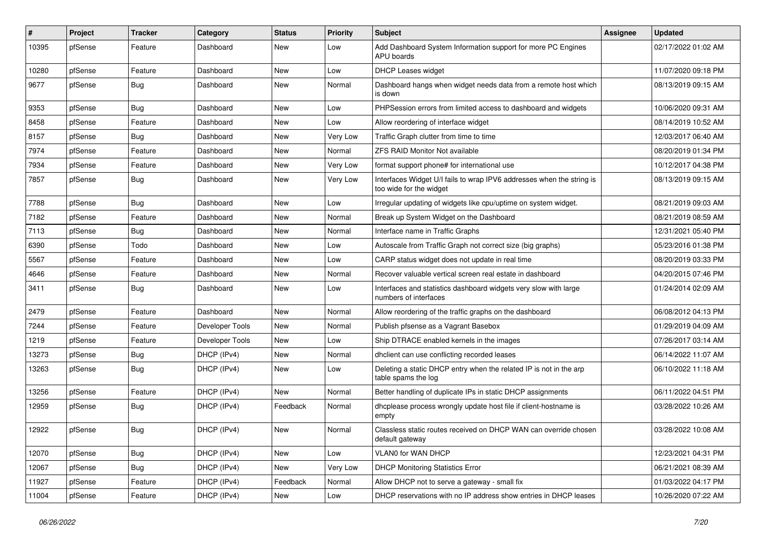| #     | Project | <b>Tracker</b> | Category        | <b>Status</b> | <b>Priority</b> | <b>Subject</b>                                                                                   | Assignee | <b>Updated</b>      |
|-------|---------|----------------|-----------------|---------------|-----------------|--------------------------------------------------------------------------------------------------|----------|---------------------|
| 10395 | pfSense | Feature        | Dashboard       | New           | Low             | Add Dashboard System Information support for more PC Engines<br>APU boards                       |          | 02/17/2022 01:02 AM |
| 10280 | pfSense | Feature        | Dashboard       | New           | Low             | DHCP Leases widget                                                                               |          | 11/07/2020 09:18 PM |
| 9677  | pfSense | <b>Bug</b>     | Dashboard       | New           | Normal          | Dashboard hangs when widget needs data from a remote host which<br>is down                       |          | 08/13/2019 09:15 AM |
| 9353  | pfSense | Bug            | Dashboard       | New           | Low             | PHPSession errors from limited access to dashboard and widgets                                   |          | 10/06/2020 09:31 AM |
| 8458  | pfSense | Feature        | Dashboard       | New           | Low             | Allow reordering of interface widget                                                             |          | 08/14/2019 10:52 AM |
| 8157  | pfSense | Bug            | Dashboard       | New           | Very Low        | Traffic Graph clutter from time to time                                                          |          | 12/03/2017 06:40 AM |
| 7974  | pfSense | Feature        | Dashboard       | New           | Normal          | ZFS RAID Monitor Not available                                                                   |          | 08/20/2019 01:34 PM |
| 7934  | pfSense | Feature        | Dashboard       | New           | Very Low        | format support phone# for international use                                                      |          | 10/12/2017 04:38 PM |
| 7857  | pfSense | Bug            | Dashboard       | New           | Very Low        | Interfaces Widget U/I fails to wrap IPV6 addresses when the string is<br>too wide for the widget |          | 08/13/2019 09:15 AM |
| 7788  | pfSense | Bug            | Dashboard       | <b>New</b>    | Low             | Irregular updating of widgets like cpu/uptime on system widget.                                  |          | 08/21/2019 09:03 AM |
| 7182  | pfSense | Feature        | Dashboard       | New           | Normal          | Break up System Widget on the Dashboard                                                          |          | 08/21/2019 08:59 AM |
| 7113  | pfSense | <b>Bug</b>     | Dashboard       | New           | Normal          | Interface name in Traffic Graphs                                                                 |          | 12/31/2021 05:40 PM |
| 6390  | pfSense | Todo           | Dashboard       | New           | Low             | Autoscale from Traffic Graph not correct size (big graphs)                                       |          | 05/23/2016 01:38 PM |
| 5567  | pfSense | Feature        | Dashboard       | New           | Low             | CARP status widget does not update in real time                                                  |          | 08/20/2019 03:33 PM |
| 4646  | pfSense | Feature        | Dashboard       | New           | Normal          | Recover valuable vertical screen real estate in dashboard                                        |          | 04/20/2015 07:46 PM |
| 3411  | pfSense | <b>Bug</b>     | Dashboard       | New           | Low             | Interfaces and statistics dashboard widgets very slow with large<br>numbers of interfaces        |          | 01/24/2014 02:09 AM |
| 2479  | pfSense | Feature        | Dashboard       | <b>New</b>    | Normal          | Allow reordering of the traffic graphs on the dashboard                                          |          | 06/08/2012 04:13 PM |
| 7244  | pfSense | Feature        | Developer Tools | New           | Normal          | Publish pfsense as a Vagrant Basebox                                                             |          | 01/29/2019 04:09 AM |
| 1219  | pfSense | Feature        | Developer Tools | New           | Low             | Ship DTRACE enabled kernels in the images                                                        |          | 07/26/2017 03:14 AM |
| 13273 | pfSense | <b>Bug</b>     | DHCP (IPv4)     | New           | Normal          | dhclient can use conflicting recorded leases                                                     |          | 06/14/2022 11:07 AM |
| 13263 | pfSense | <b>Bug</b>     | DHCP (IPv4)     | New           | Low             | Deleting a static DHCP entry when the related IP is not in the arp<br>table spams the log        |          | 06/10/2022 11:18 AM |
| 13256 | pfSense | Feature        | DHCP (IPv4)     | New           | Normal          | Better handling of duplicate IPs in static DHCP assignments                                      |          | 06/11/2022 04:51 PM |
| 12959 | pfSense | <b>Bug</b>     | DHCP (IPv4)     | Feedback      | Normal          | dhcplease process wrongly update host file if client-hostname is<br>empty                        |          | 03/28/2022 10:26 AM |
| 12922 | pfSense | Bug            | DHCP (IPv4)     | New           | Normal          | Classless static routes received on DHCP WAN can override chosen<br>default gateway              |          | 03/28/2022 10:08 AM |
| 12070 | pfSense | Bug            | DHCP (IPv4)     | New           | Low             | <b>VLAN0 for WAN DHCP</b>                                                                        |          | 12/23/2021 04:31 PM |
| 12067 | pfSense | <b>Bug</b>     | DHCP (IPv4)     | New           | Very Low        | <b>DHCP Monitoring Statistics Error</b>                                                          |          | 06/21/2021 08:39 AM |
| 11927 | pfSense | Feature        | DHCP (IPv4)     | Feedback      | Normal          | Allow DHCP not to serve a gateway - small fix                                                    |          | 01/03/2022 04:17 PM |
| 11004 | pfSense | Feature        | DHCP (IPv4)     | New           | Low             | DHCP reservations with no IP address show entries in DHCP leases                                 |          | 10/26/2020 07:22 AM |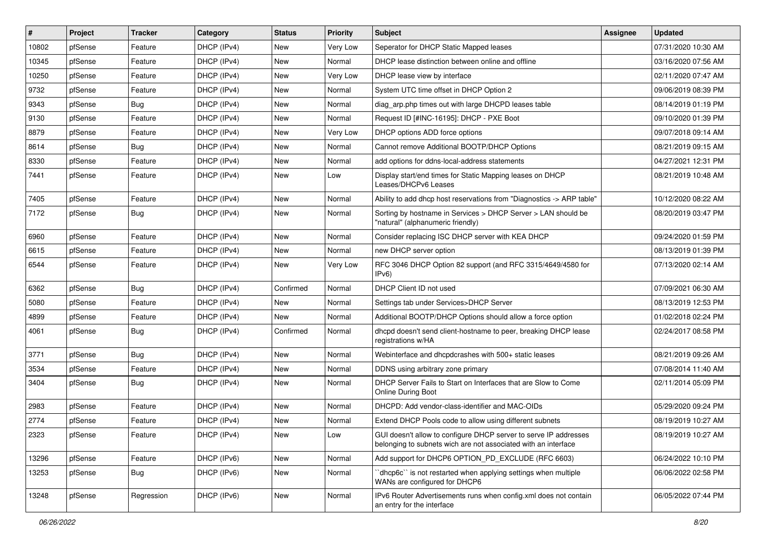| $\sharp$ | Project | <b>Tracker</b> | Category    | <b>Status</b> | <b>Priority</b> | Subject                                                                                                                            | Assignee | <b>Updated</b>      |
|----------|---------|----------------|-------------|---------------|-----------------|------------------------------------------------------------------------------------------------------------------------------------|----------|---------------------|
| 10802    | pfSense | Feature        | DHCP (IPv4) | New           | Very Low        | Seperator for DHCP Static Mapped leases                                                                                            |          | 07/31/2020 10:30 AM |
| 10345    | pfSense | Feature        | DHCP (IPv4) | New           | Normal          | DHCP lease distinction between online and offline                                                                                  |          | 03/16/2020 07:56 AM |
| 10250    | pfSense | Feature        | DHCP (IPv4) | New           | Very Low        | DHCP lease view by interface                                                                                                       |          | 02/11/2020 07:47 AM |
| 9732     | pfSense | Feature        | DHCP (IPv4) | New           | Normal          | System UTC time offset in DHCP Option 2                                                                                            |          | 09/06/2019 08:39 PM |
| 9343     | pfSense | Bug            | DHCP (IPv4) | New           | Normal          | diag_arp.php times out with large DHCPD leases table                                                                               |          | 08/14/2019 01:19 PM |
| 9130     | pfSense | Feature        | DHCP (IPv4) | New           | Normal          | Request ID [#INC-16195]: DHCP - PXE Boot                                                                                           |          | 09/10/2020 01:39 PM |
| 8879     | pfSense | Feature        | DHCP (IPv4) | New           | Very Low        | DHCP options ADD force options                                                                                                     |          | 09/07/2018 09:14 AM |
| 8614     | pfSense | Bug            | DHCP (IPv4) | New           | Normal          | Cannot remove Additional BOOTP/DHCP Options                                                                                        |          | 08/21/2019 09:15 AM |
| 8330     | pfSense | Feature        | DHCP (IPv4) | New           | Normal          | add options for ddns-local-address statements                                                                                      |          | 04/27/2021 12:31 PM |
| 7441     | pfSense | Feature        | DHCP (IPv4) | New           | Low             | Display start/end times for Static Mapping leases on DHCP<br>Leases/DHCPv6 Leases                                                  |          | 08/21/2019 10:48 AM |
| 7405     | pfSense | Feature        | DHCP (IPv4) | New           | Normal          | Ability to add dhcp host reservations from "Diagnostics -> ARP table"                                                              |          | 10/12/2020 08:22 AM |
| 7172     | pfSense | <b>Bug</b>     | DHCP (IPv4) | <b>New</b>    | Normal          | Sorting by hostname in Services > DHCP Server > LAN should be<br>"natural" (alphanumeric friendly)                                 |          | 08/20/2019 03:47 PM |
| 6960     | pfSense | Feature        | DHCP (IPv4) | New           | Normal          | Consider replacing ISC DHCP server with KEA DHCP                                                                                   |          | 09/24/2020 01:59 PM |
| 6615     | pfSense | Feature        | DHCP (IPv4) | New           | Normal          | new DHCP server option                                                                                                             |          | 08/13/2019 01:39 PM |
| 6544     | pfSense | Feature        | DHCP (IPv4) | New           | Very Low        | RFC 3046 DHCP Option 82 support (and RFC 3315/4649/4580 for<br>IPv6)                                                               |          | 07/13/2020 02:14 AM |
| 6362     | pfSense | Bug            | DHCP (IPv4) | Confirmed     | Normal          | DHCP Client ID not used                                                                                                            |          | 07/09/2021 06:30 AM |
| 5080     | pfSense | Feature        | DHCP (IPv4) | New           | Normal          | Settings tab under Services>DHCP Server                                                                                            |          | 08/13/2019 12:53 PM |
| 4899     | pfSense | Feature        | DHCP (IPv4) | New           | Normal          | Additional BOOTP/DHCP Options should allow a force option                                                                          |          | 01/02/2018 02:24 PM |
| 4061     | pfSense | <b>Bug</b>     | DHCP (IPv4) | Confirmed     | Normal          | dhcpd doesn't send client-hostname to peer, breaking DHCP lease<br>registrations w/HA                                              |          | 02/24/2017 08:58 PM |
| 3771     | pfSense | Bug            | DHCP (IPv4) | <b>New</b>    | Normal          | Webinterface and dhcpdcrashes with 500+ static leases                                                                              |          | 08/21/2019 09:26 AM |
| 3534     | pfSense | Feature        | DHCP (IPv4) | New           | Normal          | DDNS using arbitrary zone primary                                                                                                  |          | 07/08/2014 11:40 AM |
| 3404     | pfSense | <b>Bug</b>     | DHCP (IPv4) | New           | Normal          | DHCP Server Fails to Start on Interfaces that are Slow to Come<br>Online During Boot                                               |          | 02/11/2014 05:09 PM |
| 2983     | pfSense | Feature        | DHCP (IPv4) | New           | Normal          | DHCPD: Add vendor-class-identifier and MAC-OIDs                                                                                    |          | 05/29/2020 09:24 PM |
| 2774     | pfSense | Feature        | DHCP (IPv4) | New           | Normal          | Extend DHCP Pools code to allow using different subnets                                                                            |          | 08/19/2019 10:27 AM |
| 2323     | pfSense | Feature        | DHCP (IPv4) | New           | Low             | GUI doesn't allow to configure DHCP server to serve IP addresses<br>belonging to subnets wich are not associated with an interface |          | 08/19/2019 10:27 AM |
| 13296    | pfSense | Feature        | DHCP (IPv6) | New           | Normal          | Add support for DHCP6 OPTION_PD_EXCLUDE (RFC 6603)                                                                                 |          | 06/24/2022 10:10 PM |
| 13253    | pfSense | <b>Bug</b>     | DHCP (IPv6) | New           | Normal          | dhcp6c" is not restarted when applying settings when multiple<br>WANs are configured for DHCP6                                     |          | 06/06/2022 02:58 PM |
| 13248    | pfSense | Regression     | DHCP (IPv6) | New           | Normal          | IPv6 Router Advertisements runs when config.xml does not contain<br>an entry for the interface                                     |          | 06/05/2022 07:44 PM |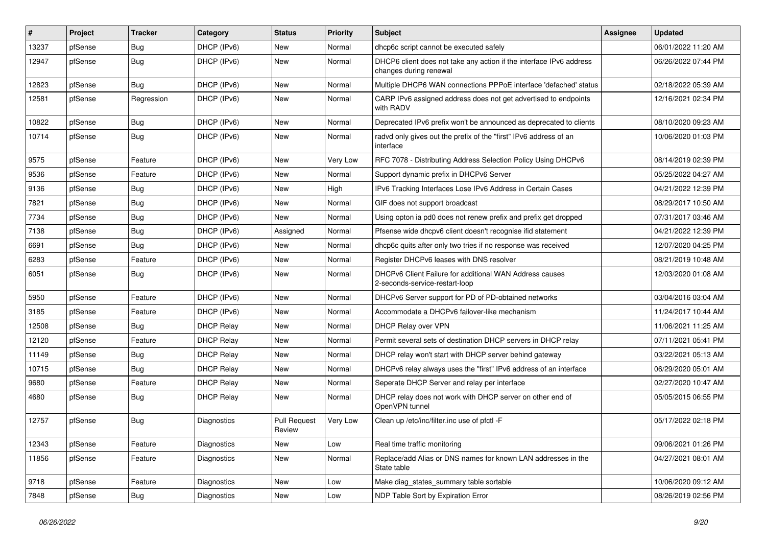| #     | Project | <b>Tracker</b> | Category          | <b>Status</b>                 | <b>Priority</b> | <b>Subject</b>                                                                                | Assignee | <b>Updated</b>      |
|-------|---------|----------------|-------------------|-------------------------------|-----------------|-----------------------------------------------------------------------------------------------|----------|---------------------|
| 13237 | pfSense | <b>Bug</b>     | DHCP (IPv6)       | New                           | Normal          | dhcp6c script cannot be executed safely                                                       |          | 06/01/2022 11:20 AM |
| 12947 | pfSense | Bug            | DHCP (IPv6)       | New                           | Normal          | DHCP6 client does not take any action if the interface IPv6 address<br>changes during renewal |          | 06/26/2022 07:44 PM |
| 12823 | pfSense | Bug            | DHCP (IPv6)       | New                           | Normal          | Multiple DHCP6 WAN connections PPPoE interface 'defached' status                              |          | 02/18/2022 05:39 AM |
| 12581 | pfSense | Regression     | DHCP (IPv6)       | New                           | Normal          | CARP IPv6 assigned address does not get advertised to endpoints<br>with RADV                  |          | 12/16/2021 02:34 PM |
| 10822 | pfSense | Bug            | DHCP (IPv6)       | New                           | Normal          | Deprecated IPv6 prefix won't be announced as deprecated to clients                            |          | 08/10/2020 09:23 AM |
| 10714 | pfSense | <b>Bug</b>     | DHCP (IPv6)       | New                           | Normal          | radvd only gives out the prefix of the "first" IPv6 address of an<br>interface                |          | 10/06/2020 01:03 PM |
| 9575  | pfSense | Feature        | DHCP (IPv6)       | New                           | Very Low        | RFC 7078 - Distributing Address Selection Policy Using DHCPv6                                 |          | 08/14/2019 02:39 PM |
| 9536  | pfSense | Feature        | DHCP (IPv6)       | New                           | Normal          | Support dynamic prefix in DHCPv6 Server                                                       |          | 05/25/2022 04:27 AM |
| 9136  | pfSense | Bug            | DHCP (IPv6)       | New                           | High            | IPv6 Tracking Interfaces Lose IPv6 Address in Certain Cases                                   |          | 04/21/2022 12:39 PM |
| 7821  | pfSense | Bug            | DHCP (IPv6)       | <b>New</b>                    | Normal          | GIF does not support broadcast                                                                |          | 08/29/2017 10:50 AM |
| 7734  | pfSense | <b>Bug</b>     | DHCP (IPv6)       | New                           | Normal          | Using opton ia pd0 does not renew prefix and prefix get dropped                               |          | 07/31/2017 03:46 AM |
| 7138  | pfSense | Bug            | DHCP (IPv6)       | Assigned                      | Normal          | Pfsense wide dhcpv6 client doesn't recognise ifid statement                                   |          | 04/21/2022 12:39 PM |
| 6691  | pfSense | Bug            | DHCP (IPv6)       | <b>New</b>                    | Normal          | dhcp6c quits after only two tries if no response was received                                 |          | 12/07/2020 04:25 PM |
| 6283  | pfSense | Feature        | DHCP (IPv6)       | New                           | Normal          | Register DHCPv6 leases with DNS resolver                                                      |          | 08/21/2019 10:48 AM |
| 6051  | pfSense | Bug            | DHCP (IPv6)       | New                           | Normal          | DHCPv6 Client Failure for additional WAN Address causes<br>2-seconds-service-restart-loop     |          | 12/03/2020 01:08 AM |
| 5950  | pfSense | Feature        | DHCP (IPv6)       | New                           | Normal          | DHCPv6 Server support for PD of PD-obtained networks                                          |          | 03/04/2016 03:04 AM |
| 3185  | pfSense | Feature        | DHCP (IPv6)       | New                           | Normal          | Accommodate a DHCPv6 failover-like mechanism                                                  |          | 11/24/2017 10:44 AM |
| 12508 | pfSense | Bug            | <b>DHCP Relay</b> | New                           | Normal          | DHCP Relay over VPN                                                                           |          | 11/06/2021 11:25 AM |
| 12120 | pfSense | Feature        | <b>DHCP Relay</b> | New                           | Normal          | Permit several sets of destination DHCP servers in DHCP relay                                 |          | 07/11/2021 05:41 PM |
| 11149 | pfSense | <b>Bug</b>     | <b>DHCP Relay</b> | <b>New</b>                    | Normal          | DHCP relay won't start with DHCP server behind gateway                                        |          | 03/22/2021 05:13 AM |
| 10715 | pfSense | Bug            | <b>DHCP Relay</b> | New                           | Normal          | DHCPv6 relay always uses the "first" IPv6 address of an interface                             |          | 06/29/2020 05:01 AM |
| 9680  | pfSense | Feature        | <b>DHCP Relay</b> | New                           | Normal          | Seperate DHCP Server and relay per interface                                                  |          | 02/27/2020 10:47 AM |
| 4680  | pfSense | Bug            | <b>DHCP Relay</b> | New                           | Normal          | DHCP relay does not work with DHCP server on other end of<br>OpenVPN tunnel                   |          | 05/05/2015 06:55 PM |
| 12757 | pfSense | <b>Bug</b>     | Diagnostics       | <b>Pull Request</b><br>Review | Very Low        | Clean up /etc/inc/filter.inc use of pfctl -F                                                  |          | 05/17/2022 02:18 PM |
| 12343 | pfSense | Feature        | Diagnostics       | New                           | Low             | Real time traffic monitoring                                                                  |          | 09/06/2021 01:26 PM |
| 11856 | pfSense | Feature        | Diagnostics       | New                           | Normal          | Replace/add Alias or DNS names for known LAN addresses in the<br>State table                  |          | 04/27/2021 08:01 AM |
| 9718  | pfSense | Feature        | Diagnostics       | New                           | Low             | Make diag_states_summary table sortable                                                       |          | 10/06/2020 09:12 AM |
| 7848  | pfSense | Bug            | Diagnostics       | New                           | Low             | NDP Table Sort by Expiration Error                                                            |          | 08/26/2019 02:56 PM |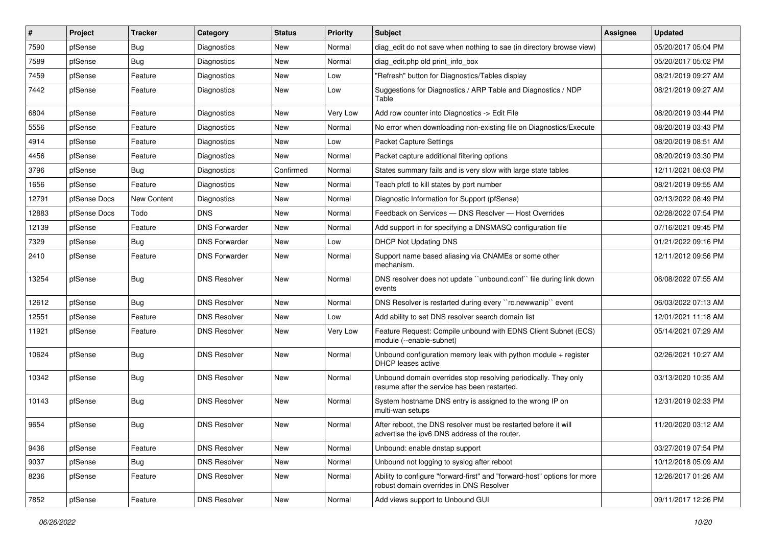| #     | Project      | <b>Tracker</b> | Category             | <b>Status</b> | <b>Priority</b> | Subject                                                                                                             | Assignee | <b>Updated</b>      |
|-------|--------------|----------------|----------------------|---------------|-----------------|---------------------------------------------------------------------------------------------------------------------|----------|---------------------|
| 7590  | pfSense      | Bug            | <b>Diagnostics</b>   | New           | Normal          | diag edit do not save when nothing to sae (in directory browse view)                                                |          | 05/20/2017 05:04 PM |
| 7589  | pfSense      | Bug            | Diagnostics          | New           | Normal          | diag edit.php old print info box                                                                                    |          | 05/20/2017 05:02 PM |
| 7459  | pfSense      | Feature        | <b>Diagnostics</b>   | New           | Low             | "Refresh" button for Diagnostics/Tables display                                                                     |          | 08/21/2019 09:27 AM |
| 7442  | pfSense      | Feature        | Diagnostics          | New           | Low             | Suggestions for Diagnostics / ARP Table and Diagnostics / NDP<br>Table                                              |          | 08/21/2019 09:27 AM |
| 6804  | pfSense      | Feature        | Diagnostics          | New           | Very Low        | Add row counter into Diagnostics -> Edit File                                                                       |          | 08/20/2019 03:44 PM |
| 5556  | pfSense      | Feature        | Diagnostics          | New           | Normal          | No error when downloading non-existing file on Diagnostics/Execute                                                  |          | 08/20/2019 03:43 PM |
| 4914  | pfSense      | Feature        | Diagnostics          | New           | Low             | Packet Capture Settings                                                                                             |          | 08/20/2019 08:51 AM |
| 4456  | pfSense      | Feature        | Diagnostics          | New           | Normal          | Packet capture additional filtering options                                                                         |          | 08/20/2019 03:30 PM |
| 3796  | pfSense      | Bug            | Diagnostics          | Confirmed     | Normal          | States summary fails and is very slow with large state tables                                                       |          | 12/11/2021 08:03 PM |
| 1656  | pfSense      | Feature        | <b>Diagnostics</b>   | New           | Normal          | Teach pfctl to kill states by port number                                                                           |          | 08/21/2019 09:55 AM |
| 12791 | pfSense Docs | New Content    | Diagnostics          | New           | Normal          | Diagnostic Information for Support (pfSense)                                                                        |          | 02/13/2022 08:49 PM |
| 12883 | pfSense Docs | Todo           | <b>DNS</b>           | <b>New</b>    | Normal          | Feedback on Services - DNS Resolver - Host Overrides                                                                |          | 02/28/2022 07:54 PM |
| 12139 | pfSense      | Feature        | <b>DNS Forwarder</b> | New           | Normal          | Add support in for specifying a DNSMASQ configuration file                                                          |          | 07/16/2021 09:45 PM |
| 7329  | pfSense      | Bug            | <b>DNS Forwarder</b> | New           | Low             | DHCP Not Updating DNS                                                                                               |          | 01/21/2022 09:16 PM |
| 2410  | pfSense      | Feature        | <b>DNS Forwarder</b> | <b>New</b>    | Normal          | Support name based aliasing via CNAMEs or some other<br>mechanism.                                                  |          | 12/11/2012 09:56 PM |
| 13254 | pfSense      | <b>Bug</b>     | <b>DNS Resolver</b>  | <b>New</b>    | Normal          | DNS resolver does not update "unbound.conf" file during link down<br>events                                         |          | 06/08/2022 07:55 AM |
| 12612 | pfSense      | Bug            | <b>DNS Resolver</b>  | <b>New</b>    | Normal          | DNS Resolver is restarted during every "rc.newwanip" event                                                          |          | 06/03/2022 07:13 AM |
| 12551 | pfSense      | Feature        | <b>DNS Resolver</b>  | <b>New</b>    | Low             | Add ability to set DNS resolver search domain list                                                                  |          | 12/01/2021 11:18 AM |
| 11921 | pfSense      | Feature        | <b>DNS Resolver</b>  | New           | Very Low        | Feature Request: Compile unbound with EDNS Client Subnet (ECS)<br>module (--enable-subnet)                          |          | 05/14/2021 07:29 AM |
| 10624 | pfSense      | Bug            | <b>DNS Resolver</b>  | New           | Normal          | Unbound configuration memory leak with python module $+$ register<br>DHCP leases active                             |          | 02/26/2021 10:27 AM |
| 10342 | pfSense      | <b>Bug</b>     | <b>DNS Resolver</b>  | New           | Normal          | Unbound domain overrides stop resolving periodically. They only<br>resume after the service has been restarted.     |          | 03/13/2020 10:35 AM |
| 10143 | pfSense      | Bug            | <b>DNS Resolver</b>  | <b>New</b>    | Normal          | System hostname DNS entry is assigned to the wrong IP on<br>multi-wan setups                                        |          | 12/31/2019 02:33 PM |
| 9654  | pfSense      | Bug            | <b>DNS Resolver</b>  | <b>New</b>    | Normal          | After reboot, the DNS resolver must be restarted before it will<br>advertise the ipv6 DNS address of the router.    |          | 11/20/2020 03:12 AM |
| 9436  | pfSense      | Feature        | <b>DNS Resolver</b>  | <b>New</b>    | Normal          | Unbound: enable dnstap support                                                                                      |          | 03/27/2019 07:54 PM |
| 9037  | pfSense      | <b>Bug</b>     | <b>DNS Resolver</b>  | New           | Normal          | Unbound not logging to syslog after reboot                                                                          |          | 10/12/2018 05:09 AM |
| 8236  | pfSense      | Feature        | <b>DNS Resolver</b>  | New           | Normal          | Ability to configure "forward-first" and "forward-host" options for more<br>robust domain overrides in DNS Resolver |          | 12/26/2017 01:26 AM |
| 7852  | pfSense      | Feature        | <b>DNS Resolver</b>  | New           | Normal          | Add views support to Unbound GUI                                                                                    |          | 09/11/2017 12:26 PM |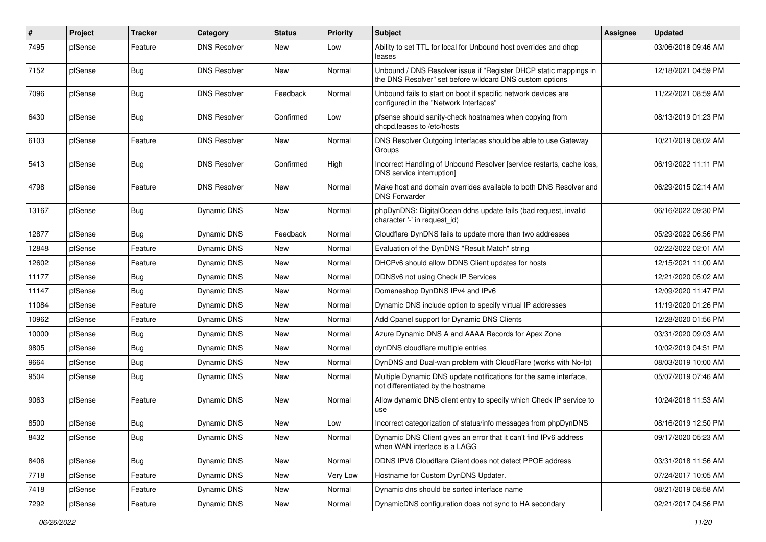| $\vert$ # | Project | <b>Tracker</b> | Category            | <b>Status</b> | <b>Priority</b> | <b>Subject</b>                                                                                                                | <b>Assignee</b> | <b>Updated</b>      |
|-----------|---------|----------------|---------------------|---------------|-----------------|-------------------------------------------------------------------------------------------------------------------------------|-----------------|---------------------|
| 7495      | pfSense | Feature        | <b>DNS Resolver</b> | New           | Low             | Ability to set TTL for local for Unbound host overrides and dhcp<br>leases                                                    |                 | 03/06/2018 09:46 AM |
| 7152      | pfSense | Bug            | <b>DNS Resolver</b> | New           | Normal          | Unbound / DNS Resolver issue if "Register DHCP static mappings in<br>the DNS Resolver" set before wildcard DNS custom options |                 | 12/18/2021 04:59 PM |
| 7096      | pfSense | Bug            | <b>DNS Resolver</b> | Feedback      | Normal          | Unbound fails to start on boot if specific network devices are<br>configured in the "Network Interfaces"                      |                 | 11/22/2021 08:59 AM |
| 6430      | pfSense | Bug            | <b>DNS Resolver</b> | Confirmed     | Low             | pfsense should sanity-check hostnames when copying from<br>dhcpd.leases to /etc/hosts                                         |                 | 08/13/2019 01:23 PM |
| 6103      | pfSense | Feature        | <b>DNS Resolver</b> | <b>New</b>    | Normal          | DNS Resolver Outgoing Interfaces should be able to use Gateway<br>Groups                                                      |                 | 10/21/2019 08:02 AM |
| 5413      | pfSense | <b>Bug</b>     | <b>DNS Resolver</b> | Confirmed     | High            | Incorrect Handling of Unbound Resolver [service restarts, cache loss,<br>DNS service interruption]                            |                 | 06/19/2022 11:11 PM |
| 4798      | pfSense | Feature        | <b>DNS Resolver</b> | New           | Normal          | Make host and domain overrides available to both DNS Resolver and<br><b>DNS Forwarder</b>                                     |                 | 06/29/2015 02:14 AM |
| 13167     | pfSense | Bug            | Dynamic DNS         | New           | Normal          | phpDynDNS: DigitalOcean ddns update fails (bad request, invalid<br>character '-' in request_id)                               |                 | 06/16/2022 09:30 PM |
| 12877     | pfSense | Bug            | Dynamic DNS         | Feedback      | Normal          | Cloudflare DynDNS fails to update more than two addresses                                                                     |                 | 05/29/2022 06:56 PM |
| 12848     | pfSense | Feature        | Dynamic DNS         | New           | Normal          | Evaluation of the DynDNS "Result Match" string                                                                                |                 | 02/22/2022 02:01 AM |
| 12602     | pfSense | Feature        | Dynamic DNS         | New           | Normal          | DHCPv6 should allow DDNS Client updates for hosts                                                                             |                 | 12/15/2021 11:00 AM |
| 11177     | pfSense | Bug            | Dynamic DNS         | New           | Normal          | DDNSv6 not using Check IP Services                                                                                            |                 | 12/21/2020 05:02 AM |
| 11147     | pfSense | Bug            | Dynamic DNS         | New           | Normal          | Domeneshop DynDNS IPv4 and IPv6                                                                                               |                 | 12/09/2020 11:47 PM |
| 11084     | pfSense | Feature        | Dynamic DNS         | New           | Normal          | Dynamic DNS include option to specify virtual IP addresses                                                                    |                 | 11/19/2020 01:26 PM |
| 10962     | pfSense | Feature        | Dynamic DNS         | New           | Normal          | Add Cpanel support for Dynamic DNS Clients                                                                                    |                 | 12/28/2020 01:56 PM |
| 10000     | pfSense | Bug            | Dynamic DNS         | New           | Normal          | Azure Dynamic DNS A and AAAA Records for Apex Zone                                                                            |                 | 03/31/2020 09:03 AM |
| 9805      | pfSense | <b>Bug</b>     | Dynamic DNS         | New           | Normal          | dynDNS cloudflare multiple entries                                                                                            |                 | 10/02/2019 04:51 PM |
| 9664      | pfSense | Bug            | Dynamic DNS         | New           | Normal          | DynDNS and Dual-wan problem with CloudFlare (works with No-Ip)                                                                |                 | 08/03/2019 10:00 AM |
| 9504      | pfSense | Bug            | Dynamic DNS         | New           | Normal          | Multiple Dynamic DNS update notifications for the same interface,<br>not differentiated by the hostname                       |                 | 05/07/2019 07:46 AM |
| 9063      | pfSense | Feature        | Dynamic DNS         | <b>New</b>    | Normal          | Allow dynamic DNS client entry to specify which Check IP service to<br>use                                                    |                 | 10/24/2018 11:53 AM |
| 8500      | pfSense | Bug            | Dynamic DNS         | New           | Low             | Incorrect categorization of status/info messages from phpDynDNS                                                               |                 | 08/16/2019 12:50 PM |
| 8432      | pfSense | <b>Bug</b>     | <b>Dynamic DNS</b>  | New           | Normal          | Dynamic DNS Client gives an error that it can't find IPv6 address<br>when WAN interface is a LAGG                             |                 | 09/17/2020 05:23 AM |
| 8406      | pfSense | Bug            | <b>Dynamic DNS</b>  | New           | Normal          | DDNS IPV6 Cloudflare Client does not detect PPOE address                                                                      |                 | 03/31/2018 11:56 AM |
| 7718      | pfSense | Feature        | Dynamic DNS         | New           | Very Low        | Hostname for Custom DynDNS Updater.                                                                                           |                 | 07/24/2017 10:05 AM |
| 7418      | pfSense | Feature        | <b>Dynamic DNS</b>  | New           | Normal          | Dynamic dns should be sorted interface name                                                                                   |                 | 08/21/2019 08:58 AM |
| 7292      | pfSense | Feature        | <b>Dynamic DNS</b>  | New           | Normal          | DynamicDNS configuration does not sync to HA secondary                                                                        |                 | 02/21/2017 04:56 PM |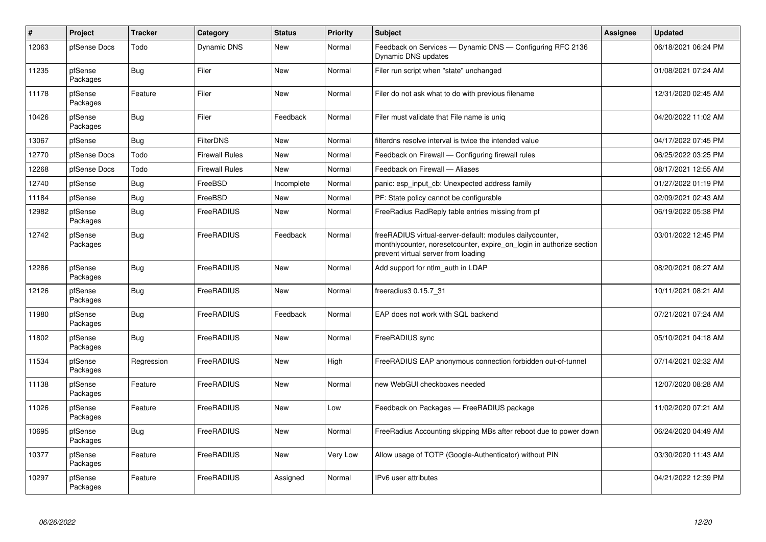| $\pmb{\#}$ | Project             | <b>Tracker</b> | Category              | <b>Status</b> | <b>Priority</b> | <b>Subject</b>                                                                                                                                                          | <b>Assignee</b> | <b>Updated</b>      |
|------------|---------------------|----------------|-----------------------|---------------|-----------------|-------------------------------------------------------------------------------------------------------------------------------------------------------------------------|-----------------|---------------------|
| 12063      | pfSense Docs        | Todo           | Dynamic DNS           | <b>New</b>    | Normal          | Feedback on Services — Dynamic DNS — Configuring RFC 2136<br>Dynamic DNS updates                                                                                        |                 | 06/18/2021 06:24 PM |
| 11235      | pfSense<br>Packages | Bug            | Filer                 | <b>New</b>    | Normal          | Filer run script when "state" unchanged                                                                                                                                 |                 | 01/08/2021 07:24 AM |
| 11178      | pfSense<br>Packages | Feature        | Filer                 | <b>New</b>    | Normal          | Filer do not ask what to do with previous filename                                                                                                                      |                 | 12/31/2020 02:45 AM |
| 10426      | pfSense<br>Packages | Bug            | Filer                 | Feedback      | Normal          | Filer must validate that File name is unig                                                                                                                              |                 | 04/20/2022 11:02 AM |
| 13067      | pfSense             | Bug            | <b>FilterDNS</b>      | <b>New</b>    | Normal          | filterdns resolve interval is twice the intended value                                                                                                                  |                 | 04/17/2022 07:45 PM |
| 12770      | pfSense Docs        | Todo           | <b>Firewall Rules</b> | <b>New</b>    | Normal          | Feedback on Firewall - Configuring firewall rules                                                                                                                       |                 | 06/25/2022 03:25 PM |
| 12268      | pfSense Docs        | Todo           | <b>Firewall Rules</b> | <b>New</b>    | Normal          | Feedback on Firewall - Aliases                                                                                                                                          |                 | 08/17/2021 12:55 AM |
| 12740      | pfSense             | Bug            | FreeBSD               | Incomplete    | Normal          | panic: esp input cb: Unexpected address family                                                                                                                          |                 | 01/27/2022 01:19 PM |
| 11184      | pfSense             | Bug            | FreeBSD               | <b>New</b>    | Normal          | PF: State policy cannot be configurable                                                                                                                                 |                 | 02/09/2021 02:43 AM |
| 12982      | pfSense<br>Packages | <b>Bug</b>     | FreeRADIUS            | New           | Normal          | FreeRadius RadReply table entries missing from pf                                                                                                                       |                 | 06/19/2022 05:38 PM |
| 12742      | pfSense<br>Packages | <b>Bug</b>     | FreeRADIUS            | Feedback      | Normal          | freeRADIUS virtual-server-default: modules dailycounter,<br>monthlycounter, noresetcounter, expire on login in authorize section<br>prevent virtual server from loading |                 | 03/01/2022 12:45 PM |
| 12286      | pfSense<br>Packages | Bug            | FreeRADIUS            | New           | Normal          | Add support for ntlm auth in LDAP                                                                                                                                       |                 | 08/20/2021 08:27 AM |
| 12126      | pfSense<br>Packages | <b>Bug</b>     | FreeRADIUS            | <b>New</b>    | Normal          | freeradius3 0.15.7 31                                                                                                                                                   |                 | 10/11/2021 08:21 AM |
| 11980      | pfSense<br>Packages | <b>Bug</b>     | FreeRADIUS            | Feedback      | Normal          | EAP does not work with SQL backend                                                                                                                                      |                 | 07/21/2021 07:24 AM |
| 11802      | pfSense<br>Packages | Bug            | FreeRADIUS            | <b>New</b>    | Normal          | FreeRADIUS sync                                                                                                                                                         |                 | 05/10/2021 04:18 AM |
| 11534      | pfSense<br>Packages | Regression     | FreeRADIUS            | New           | High            | FreeRADIUS EAP anonymous connection forbidden out-of-tunnel                                                                                                             |                 | 07/14/2021 02:32 AM |
| 11138      | pfSense<br>Packages | Feature        | FreeRADIUS            | New           | Normal          | new WebGUI checkboxes needed                                                                                                                                            |                 | 12/07/2020 08:28 AM |
| 11026      | pfSense<br>Packages | Feature        | FreeRADIUS            | <b>New</b>    | Low             | Feedback on Packages — FreeRADIUS package                                                                                                                               |                 | 11/02/2020 07:21 AM |
| 10695      | pfSense<br>Packages | Bug            | FreeRADIUS            | <b>New</b>    | Normal          | FreeRadius Accounting skipping MBs after reboot due to power down                                                                                                       |                 | 06/24/2020 04:49 AM |
| 10377      | pfSense<br>Packages | Feature        | FreeRADIUS            | <b>New</b>    | Very Low        | Allow usage of TOTP (Google-Authenticator) without PIN                                                                                                                  |                 | 03/30/2020 11:43 AM |
| 10297      | pfSense<br>Packages | Feature        | FreeRADIUS            | Assigned      | Normal          | IPv6 user attributes                                                                                                                                                    |                 | 04/21/2022 12:39 PM |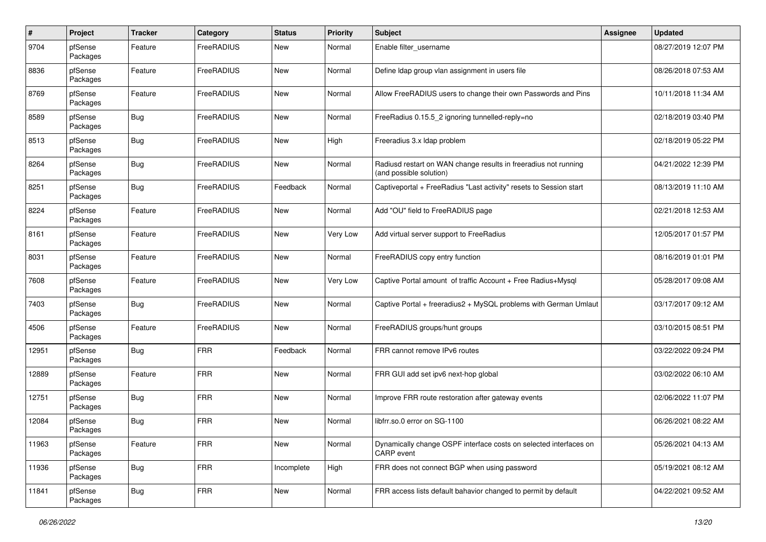| $\#$  | Project             | <b>Tracker</b> | Category   | <b>Status</b> | <b>Priority</b> | <b>Subject</b>                                                                             | Assignee | <b>Updated</b>      |
|-------|---------------------|----------------|------------|---------------|-----------------|--------------------------------------------------------------------------------------------|----------|---------------------|
| 9704  | pfSense<br>Packages | Feature        | FreeRADIUS | New           | Normal          | Enable filter username                                                                     |          | 08/27/2019 12:07 PM |
| 8836  | pfSense<br>Packages | Feature        | FreeRADIUS | New           | Normal          | Define Idap group vlan assignment in users file                                            |          | 08/26/2018 07:53 AM |
| 8769  | pfSense<br>Packages | Feature        | FreeRADIUS | <b>New</b>    | Normal          | Allow FreeRADIUS users to change their own Passwords and Pins                              |          | 10/11/2018 11:34 AM |
| 8589  | pfSense<br>Packages | Bug            | FreeRADIUS | New           | Normal          | FreeRadius 0.15.5_2 ignoring tunnelled-reply=no                                            |          | 02/18/2019 03:40 PM |
| 8513  | pfSense<br>Packages | <b>Bug</b>     | FreeRADIUS | New           | High            | Freeradius 3.x Idap problem                                                                |          | 02/18/2019 05:22 PM |
| 8264  | pfSense<br>Packages | Bug            | FreeRADIUS | New           | Normal          | Radiusd restart on WAN change results in freeradius not running<br>(and possible solution) |          | 04/21/2022 12:39 PM |
| 8251  | pfSense<br>Packages | <b>Bug</b>     | FreeRADIUS | Feedback      | Normal          | Captiveportal + FreeRadius "Last activity" resets to Session start                         |          | 08/13/2019 11:10 AM |
| 8224  | pfSense<br>Packages | Feature        | FreeRADIUS | New           | Normal          | Add "OU" field to FreeRADIUS page                                                          |          | 02/21/2018 12:53 AM |
| 8161  | pfSense<br>Packages | Feature        | FreeRADIUS | New           | Very Low        | Add virtual server support to FreeRadius                                                   |          | 12/05/2017 01:57 PM |
| 8031  | pfSense<br>Packages | Feature        | FreeRADIUS | New           | Normal          | FreeRADIUS copy entry function                                                             |          | 08/16/2019 01:01 PM |
| 7608  | pfSense<br>Packages | Feature        | FreeRADIUS | New           | Very Low        | Captive Portal amount of traffic Account + Free Radius+Mysql                               |          | 05/28/2017 09:08 AM |
| 7403  | pfSense<br>Packages | Bug            | FreeRADIUS | New           | Normal          | Captive Portal + freeradius2 + MySQL problems with German Umlaut                           |          | 03/17/2017 09:12 AM |
| 4506  | pfSense<br>Packages | Feature        | FreeRADIUS | New           | Normal          | FreeRADIUS groups/hunt groups                                                              |          | 03/10/2015 08:51 PM |
| 12951 | pfSense<br>Packages | <b>Bug</b>     | <b>FRR</b> | Feedback      | Normal          | FRR cannot remove IPv6 routes                                                              |          | 03/22/2022 09:24 PM |
| 12889 | pfSense<br>Packages | Feature        | <b>FRR</b> | New           | Normal          | FRR GUI add set ipv6 next-hop global                                                       |          | 03/02/2022 06:10 AM |
| 12751 | pfSense<br>Packages | <b>Bug</b>     | <b>FRR</b> | New           | Normal          | Improve FRR route restoration after gateway events                                         |          | 02/06/2022 11:07 PM |
| 12084 | pfSense<br>Packages | <b>Bug</b>     | <b>FRR</b> | New           | Normal          | libfrr.so.0 error on SG-1100                                                               |          | 06/26/2021 08:22 AM |
| 11963 | pfSense<br>Packages | Feature        | <b>FRR</b> | New           | Normal          | Dynamically change OSPF interface costs on selected interfaces on<br>CARP event            |          | 05/26/2021 04:13 AM |
| 11936 | pfSense<br>Packages | <b>Bug</b>     | <b>FRR</b> | Incomplete    | High            | FRR does not connect BGP when using password                                               |          | 05/19/2021 08:12 AM |
| 11841 | pfSense<br>Packages | <b>Bug</b>     | <b>FRR</b> | New           | Normal          | FRR access lists default bahavior changed to permit by default                             |          | 04/22/2021 09:52 AM |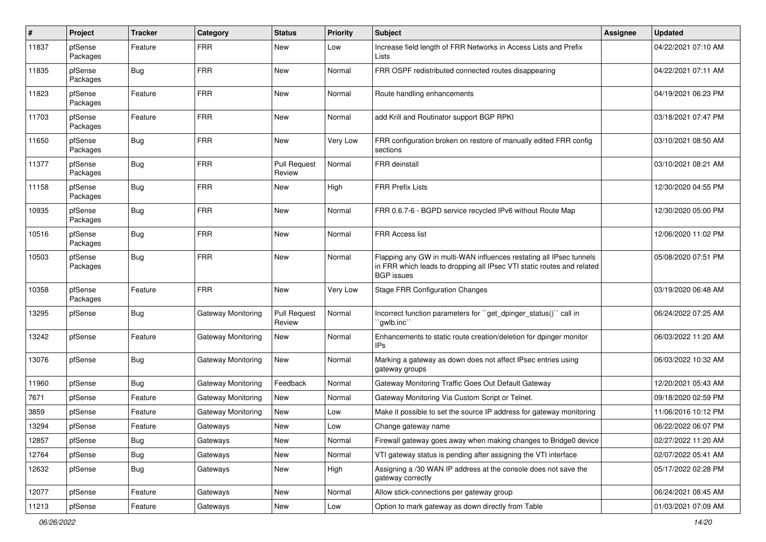| #     | Project             | <b>Tracker</b> | Category           | <b>Status</b>                 | <b>Priority</b> | <b>Subject</b>                                                                                                                                                     | Assignee | <b>Updated</b>      |
|-------|---------------------|----------------|--------------------|-------------------------------|-----------------|--------------------------------------------------------------------------------------------------------------------------------------------------------------------|----------|---------------------|
| 11837 | pfSense<br>Packages | Feature        | <b>FRR</b>         | New                           | LOW             | Increase field length of FRR Networks in Access Lists and Prefix<br>Lists                                                                                          |          | 04/22/2021 07:10 AM |
| 11835 | pfSense<br>Packages | <b>Bug</b>     | <b>FRR</b>         | New                           | Normal          | FRR OSPF redistributed connected routes disappearing                                                                                                               |          | 04/22/2021 07:11 AM |
| 11823 | pfSense<br>Packages | Feature        | <b>FRR</b>         | New                           | Normal          | Route handling enhancements                                                                                                                                        |          | 04/19/2021 06:23 PM |
| 11703 | pfSense<br>Packages | Feature        | <b>FRR</b>         | New                           | Normal          | add Krill and Routinator support BGP RPKI                                                                                                                          |          | 03/18/2021 07:47 PM |
| 11650 | pfSense<br>Packages | <b>Bug</b>     | <b>FRR</b>         | New                           | Very Low        | FRR configuration broken on restore of manually edited FRR config<br>sections                                                                                      |          | 03/10/2021 08:50 AM |
| 11377 | pfSense<br>Packages | Bug            | <b>FRR</b>         | <b>Pull Request</b><br>Review | Normal          | FRR deinstall                                                                                                                                                      |          | 03/10/2021 08:21 AM |
| 11158 | pfSense<br>Packages | <b>Bug</b>     | <b>FRR</b>         | New                           | High            | <b>FRR Prefix Lists</b>                                                                                                                                            |          | 12/30/2020 04:55 PM |
| 10935 | pfSense<br>Packages | <b>Bug</b>     | <b>FRR</b>         | New                           | Normal          | FRR 0.6.7-6 - BGPD service recycled IPv6 without Route Map                                                                                                         |          | 12/30/2020 05:00 PM |
| 10516 | pfSense<br>Packages | <b>Bug</b>     | <b>FRR</b>         | <b>New</b>                    | Normal          | <b>FRR Access list</b>                                                                                                                                             |          | 12/06/2020 11:02 PM |
| 10503 | pfSense<br>Packages | <b>Bug</b>     | <b>FRR</b>         | New                           | Normal          | Flapping any GW in multi-WAN influences restating all IPsec tunnels<br>in FRR which leads to dropping all IPsec VTI static routes and related<br><b>BGP</b> issues |          | 05/08/2020 07:51 PM |
| 10358 | pfSense<br>Packages | Feature        | <b>FRR</b>         | New                           | Very Low        | <b>Stage FRR Configuration Changes</b>                                                                                                                             |          | 03/19/2020 06:48 AM |
| 13295 | pfSense             | <b>Bug</b>     | Gateway Monitoring | <b>Pull Request</b><br>Review | Normal          | Incorrect function parameters for "get_dpinger_status()" call in<br>`qwlb.inc``                                                                                    |          | 06/24/2022 07:25 AM |
| 13242 | pfSense             | Feature        | Gateway Monitoring | New                           | Normal          | Enhancements to static route creation/deletion for dpinger monitor<br>IPs                                                                                          |          | 06/03/2022 11:20 AM |
| 13076 | pfSense             | <b>Bug</b>     | Gateway Monitoring | New                           | Normal          | Marking a gateway as down does not affect IPsec entries using<br>gateway groups                                                                                    |          | 06/03/2022 10:32 AM |
| 11960 | pfSense             | <b>Bug</b>     | Gateway Monitoring | Feedback                      | Normal          | Gateway Monitoring Traffic Goes Out Default Gateway                                                                                                                |          | 12/20/2021 05:43 AM |
| 7671  | pfSense             | Feature        | Gateway Monitoring | New                           | Normal          | Gateway Monitoring Via Custom Script or Telnet.                                                                                                                    |          | 09/18/2020 02:59 PM |
| 3859  | pfSense             | Feature        | Gateway Monitoring | New                           | _OW             | Make it possible to set the source IP address for gateway monitoring                                                                                               |          | 11/06/2016 10:12 PM |
| 13294 | pfSense             | Feature        | Gateways           | New                           | LOW             | Change gateway name                                                                                                                                                |          | 06/22/2022 06:07 PM |
| 12857 | pfSense             | Bug            | Gateways           | New                           | Normal          | Firewall gateway goes away when making changes to Bridge0 device                                                                                                   |          | 02/27/2022 11:20 AM |
| 12764 | pfSense             | <b>Bug</b>     | Gateways           | New                           | Normal          | VTI gateway status is pending after assigning the VTI interface                                                                                                    |          | 02/07/2022 05:41 AM |
| 12632 | pfSense             | <b>Bug</b>     | Gateways           | New                           | High            | Assigning a /30 WAN IP address at the console does not save the<br>gateway correctly                                                                               |          | 05/17/2022 02:28 PM |
| 12077 | pfSense             | Feature        | Gateways           | New                           | Normal          | Allow stick-connections per gateway group                                                                                                                          |          | 06/24/2021 08:45 AM |
| 11213 | pfSense             | Feature        | Gateways           | New                           | Low             | Option to mark gateway as down directly from Table                                                                                                                 |          | 01/03/2021 07:09 AM |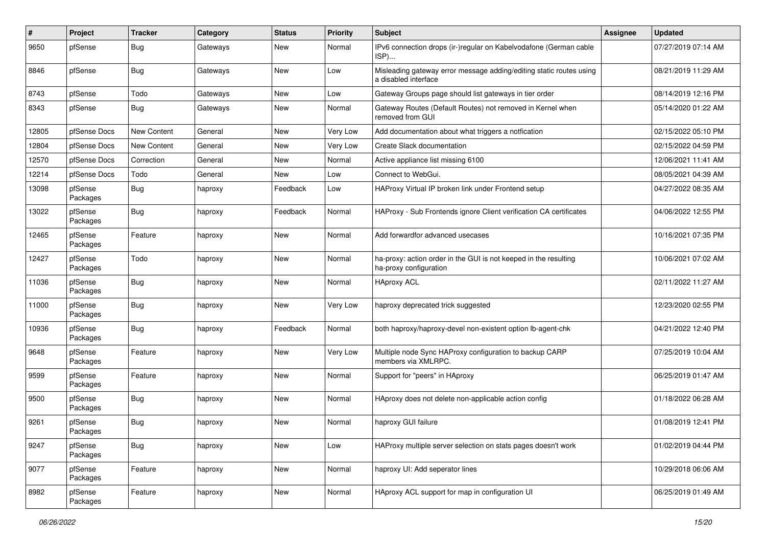| #     | Project             | <b>Tracker</b> | Category | <b>Status</b> | <b>Priority</b> | Subject                                                                                     | <b>Assignee</b> | <b>Updated</b>      |
|-------|---------------------|----------------|----------|---------------|-----------------|---------------------------------------------------------------------------------------------|-----------------|---------------------|
| 9650  | pfSense             | Bug            | Gateways | New           | Normal          | IPv6 connection drops (ir-)regular on Kabelvodafone (German cable<br>ISP)                   |                 | 07/27/2019 07:14 AM |
| 8846  | pfSense             | Bug            | Gateways | New           | Low             | Misleading gateway error message adding/editing static routes using<br>a disabled interface |                 | 08/21/2019 11:29 AM |
| 8743  | pfSense             | Todo           | Gateways | <b>New</b>    | Low             | Gateway Groups page should list gateways in tier order                                      |                 | 08/14/2019 12:16 PM |
| 8343  | pfSense             | Bug            | Gateways | New           | Normal          | Gateway Routes (Default Routes) not removed in Kernel when<br>removed from GUI              |                 | 05/14/2020 01:22 AM |
| 12805 | pfSense Docs        | New Content    | General  | <b>New</b>    | Very Low        | Add documentation about what triggers a notfication                                         |                 | 02/15/2022 05:10 PM |
| 12804 | pfSense Docs        | New Content    | General  | New           | Very Low        | Create Slack documentation                                                                  |                 | 02/15/2022 04:59 PM |
| 12570 | pfSense Docs        | Correction     | General  | New           | Normal          | Active appliance list missing 6100                                                          |                 | 12/06/2021 11:41 AM |
| 12214 | pfSense Docs        | Todo           | General  | New           | Low             | Connect to WebGui.                                                                          |                 | 08/05/2021 04:39 AM |
| 13098 | pfSense<br>Packages | Bug            | haproxy  | Feedback      | Low             | HAProxy Virtual IP broken link under Frontend setup                                         |                 | 04/27/2022 08:35 AM |
| 13022 | pfSense<br>Packages | Bug            | haproxy  | Feedback      | Normal          | HAProxy - Sub Frontends ignore Client verification CA certificates                          |                 | 04/06/2022 12:55 PM |
| 12465 | pfSense<br>Packages | Feature        | haproxy  | New           | Normal          | Add forwardfor advanced usecases                                                            |                 | 10/16/2021 07:35 PM |
| 12427 | pfSense<br>Packages | Todo           | haproxy  | <b>New</b>    | Normal          | ha-proxy: action order in the GUI is not keeped in the resulting<br>ha-proxy configuration  |                 | 10/06/2021 07:02 AM |
| 11036 | pfSense<br>Packages | Bug            | haproxy  | New           | Normal          | <b>HAproxy ACL</b>                                                                          |                 | 02/11/2022 11:27 AM |
| 11000 | pfSense<br>Packages | Bug            | haproxy  | New           | Very Low        | haproxy deprecated trick suggested                                                          |                 | 12/23/2020 02:55 PM |
| 10936 | pfSense<br>Packages | <b>Bug</b>     | haproxy  | Feedback      | Normal          | both haproxy/haproxy-devel non-existent option lb-agent-chk                                 |                 | 04/21/2022 12:40 PM |
| 9648  | pfSense<br>Packages | Feature        | haproxy  | New           | Very Low        | Multiple node Sync HAProxy configuration to backup CARP<br>members via XMLRPC.              |                 | 07/25/2019 10:04 AM |
| 9599  | pfSense<br>Packages | Feature        | haproxy  | New           | Normal          | Support for "peers" in HAproxy                                                              |                 | 06/25/2019 01:47 AM |
| 9500  | pfSense<br>Packages | Bug            | haproxy  | New           | Normal          | HAproxy does not delete non-applicable action config                                        |                 | 01/18/2022 06:28 AM |
| 9261  | pfSense<br>Packages | Bug            | haproxy  | <b>New</b>    | Normal          | haproxy GUI failure                                                                         |                 | 01/08/2019 12:41 PM |
| 9247  | pfSense<br>Packages | Bug            | haproxy  | New           | Low             | HAProxy multiple server selection on stats pages doesn't work                               |                 | 01/02/2019 04:44 PM |
| 9077  | pfSense<br>Packages | Feature        | haproxy  | New           | Normal          | haproxy UI: Add seperator lines                                                             |                 | 10/29/2018 06:06 AM |
| 8982  | pfSense<br>Packages | Feature        | haproxy  | New           | Normal          | HAproxy ACL support for map in configuration UI                                             |                 | 06/25/2019 01:49 AM |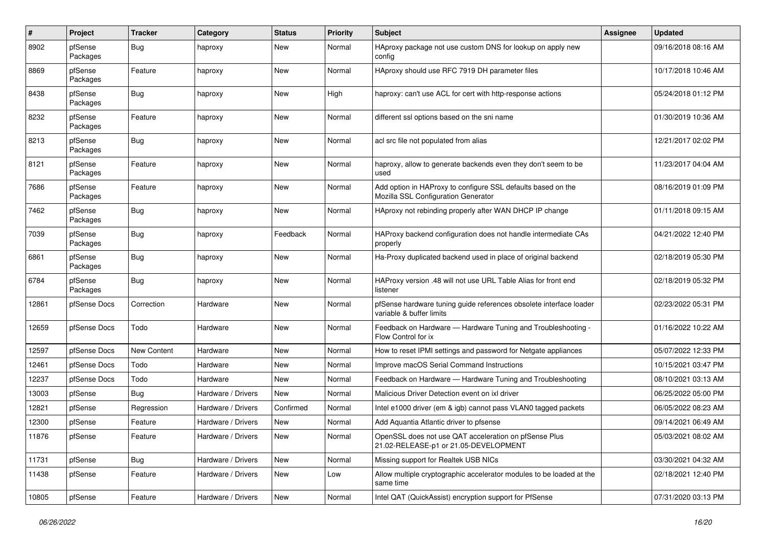| $\pmb{\#}$ | Project             | <b>Tracker</b>     | Category           | <b>Status</b> | <b>Priority</b> | <b>Subject</b>                                                                                      | <b>Assignee</b> | <b>Updated</b>      |
|------------|---------------------|--------------------|--------------------|---------------|-----------------|-----------------------------------------------------------------------------------------------------|-----------------|---------------------|
| 8902       | pfSense<br>Packages | <b>Bug</b>         | haproxy            | New           | Normal          | HAproxy package not use custom DNS for lookup on apply new<br>config                                |                 | 09/16/2018 08:16 AM |
| 8869       | pfSense<br>Packages | Feature            | haproxy            | New           | Normal          | HAproxy should use RFC 7919 DH parameter files                                                      |                 | 10/17/2018 10:46 AM |
| 8438       | pfSense<br>Packages | Bug                | haproxy            | <b>New</b>    | High            | haproxy: can't use ACL for cert with http-response actions                                          |                 | 05/24/2018 01:12 PM |
| 8232       | pfSense<br>Packages | Feature            | haproxy            | New           | Normal          | different ssl options based on the sni name                                                         |                 | 01/30/2019 10:36 AM |
| 8213       | pfSense<br>Packages | Bug                | haproxy            | <b>New</b>    | Normal          | acl src file not populated from alias                                                               |                 | 12/21/2017 02:02 PM |
| 8121       | pfSense<br>Packages | Feature            | haproxy            | New           | Normal          | haproxy, allow to generate backends even they don't seem to be<br>used                              |                 | 11/23/2017 04:04 AM |
| 7686       | pfSense<br>Packages | Feature            | haproxy            | New           | Normal          | Add option in HAProxy to configure SSL defaults based on the<br>Mozilla SSL Configuration Generator |                 | 08/16/2019 01:09 PM |
| 7462       | pfSense<br>Packages | Bug                | haproxy            | New           | Normal          | HAproxy not rebinding properly after WAN DHCP IP change                                             |                 | 01/11/2018 09:15 AM |
| 7039       | pfSense<br>Packages | Bug                | haproxy            | Feedback      | Normal          | HAProxy backend configuration does not handle intermediate CAs<br>properly                          |                 | 04/21/2022 12:40 PM |
| 6861       | pfSense<br>Packages | Bug                | haproxy            | <b>New</b>    | Normal          | Ha-Proxy duplicated backend used in place of original backend                                       |                 | 02/18/2019 05:30 PM |
| 6784       | pfSense<br>Packages | Bug                | haproxy            | <b>New</b>    | Normal          | HAProxy version .48 will not use URL Table Alias for front end<br>listener                          |                 | 02/18/2019 05:32 PM |
| 12861      | pfSense Docs        | Correction         | Hardware           | <b>New</b>    | Normal          | pfSense hardware tuning guide references obsolete interface loader<br>variable & buffer limits      |                 | 02/23/2022 05:31 PM |
| 12659      | pfSense Docs        | Todo               | Hardware           | New           | Normal          | Feedback on Hardware - Hardware Tuning and Troubleshooting -<br>Flow Control for ix                 |                 | 01/16/2022 10:22 AM |
| 12597      | pfSense Docs        | <b>New Content</b> | Hardware           | New           | Normal          | How to reset IPMI settings and password for Netgate appliances                                      |                 | 05/07/2022 12:33 PM |
| 12461      | pfSense Docs        | Todo               | Hardware           | New           | Normal          | Improve macOS Serial Command Instructions                                                           |                 | 10/15/2021 03:47 PM |
| 12237      | pfSense Docs        | Todo               | Hardware           | New           | Normal          | Feedback on Hardware - Hardware Tuning and Troubleshooting                                          |                 | 08/10/2021 03:13 AM |
| 13003      | pfSense             | Bug                | Hardware / Drivers | New           | Normal          | Malicious Driver Detection event on ixl driver                                                      |                 | 06/25/2022 05:00 PM |
| 12821      | pfSense             | Regression         | Hardware / Drivers | Confirmed     | Normal          | Intel e1000 driver (em & igb) cannot pass VLAN0 tagged packets                                      |                 | 06/05/2022 08:23 AM |
| 12300      | pfSense             | Feature            | Hardware / Drivers | New           | Normal          | Add Aquantia Atlantic driver to pfsense                                                             |                 | 09/14/2021 06:49 AM |
| 11876      | pfSense             | Feature            | Hardware / Drivers | New           | Normal          | OpenSSL does not use QAT acceleration on pfSense Plus<br>21.02-RELEASE-p1 or 21.05-DEVELOPMENT      |                 | 05/03/2021 08:02 AM |
| 11731      | pfSense             | Bug                | Hardware / Drivers | New           | Normal          | Missing support for Realtek USB NICs                                                                |                 | 03/30/2021 04:32 AM |
| 11438      | pfSense             | Feature            | Hardware / Drivers | New           | Low             | Allow multiple cryptographic accelerator modules to be loaded at the<br>same time                   |                 | 02/18/2021 12:40 PM |
| 10805      | pfSense             | Feature            | Hardware / Drivers | New           | Normal          | Intel QAT (QuickAssist) encryption support for PfSense                                              |                 | 07/31/2020 03:13 PM |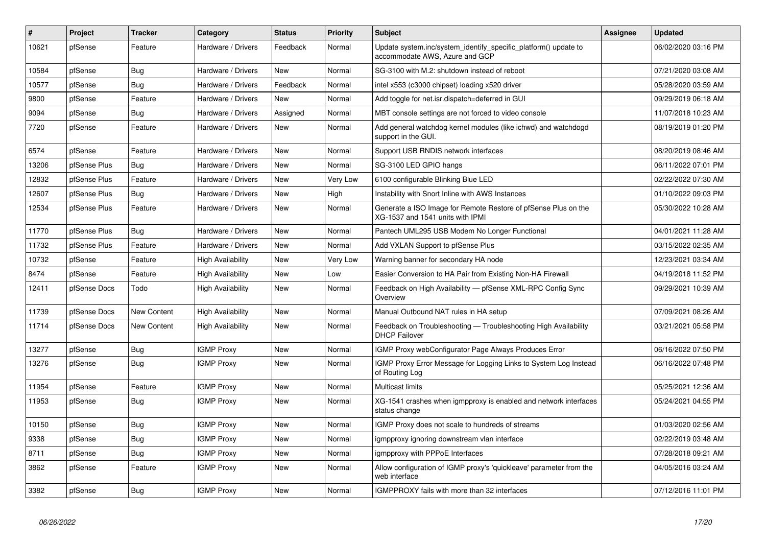| $\sharp$ | Project      | <b>Tracker</b>     | Category                 | <b>Status</b> | <b>Priority</b> | <b>Subject</b>                                                                                     | <b>Assignee</b> | <b>Updated</b>      |
|----------|--------------|--------------------|--------------------------|---------------|-----------------|----------------------------------------------------------------------------------------------------|-----------------|---------------------|
| 10621    | pfSense      | Feature            | Hardware / Drivers       | Feedback      | Normal          | Update system.inc/system identify specific platform() update to<br>accommodate AWS, Azure and GCP  |                 | 06/02/2020 03:16 PM |
| 10584    | pfSense      | Bug                | Hardware / Drivers       | <b>New</b>    | Normal          | SG-3100 with M.2: shutdown instead of reboot                                                       |                 | 07/21/2020 03:08 AM |
| 10577    | pfSense      | Bug                | Hardware / Drivers       | Feedback      | Normal          | intel x553 (c3000 chipset) loading x520 driver                                                     |                 | 05/28/2020 03:59 AM |
| 9800     | pfSense      | Feature            | Hardware / Drivers       | <b>New</b>    | Normal          | Add toggle for net.isr.dispatch=deferred in GUI                                                    |                 | 09/29/2019 06:18 AM |
| 9094     | pfSense      | <b>Bug</b>         | Hardware / Drivers       | Assigned      | Normal          | MBT console settings are not forced to video console                                               |                 | 11/07/2018 10:23 AM |
| 7720     | pfSense      | Feature            | Hardware / Drivers       | <b>New</b>    | Normal          | Add general watchdog kernel modules (like ichwd) and watchdogd<br>support in the GUI.              |                 | 08/19/2019 01:20 PM |
| 6574     | pfSense      | Feature            | Hardware / Drivers       | New           | Normal          | Support USB RNDIS network interfaces                                                               |                 | 08/20/2019 08:46 AM |
| 13206    | pfSense Plus | <b>Bug</b>         | Hardware / Drivers       | <b>New</b>    | Normal          | SG-3100 LED GPIO hangs                                                                             |                 | 06/11/2022 07:01 PM |
| 12832    | pfSense Plus | Feature            | Hardware / Drivers       | <b>New</b>    | Very Low        | 6100 configurable Blinking Blue LED                                                                |                 | 02/22/2022 07:30 AM |
| 12607    | pfSense Plus | <b>Bug</b>         | Hardware / Drivers       | New           | High            | Instability with Snort Inline with AWS Instances                                                   |                 | 01/10/2022 09:03 PM |
| 12534    | pfSense Plus | Feature            | Hardware / Drivers       | New           | Normal          | Generate a ISO Image for Remote Restore of pfSense Plus on the<br>XG-1537 and 1541 units with IPMI |                 | 05/30/2022 10:28 AM |
| 11770    | pfSense Plus | Bug                | Hardware / Drivers       | New           | Normal          | Pantech UML295 USB Modem No Longer Functional                                                      |                 | 04/01/2021 11:28 AM |
| 11732    | pfSense Plus | Feature            | Hardware / Drivers       | New           | Normal          | Add VXLAN Support to pfSense Plus                                                                  |                 | 03/15/2022 02:35 AM |
| 10732    | pfSense      | Feature            | <b>High Availability</b> | New           | Very Low        | Warning banner for secondary HA node                                                               |                 | 12/23/2021 03:34 AM |
| 8474     | pfSense      | Feature            | <b>High Availability</b> | New           | Low             | Easier Conversion to HA Pair from Existing Non-HA Firewall                                         |                 | 04/19/2018 11:52 PM |
| 12411    | pfSense Docs | Todo               | <b>High Availability</b> | New           | Normal          | Feedback on High Availability - pfSense XML-RPC Config Sync<br>Overview                            |                 | 09/29/2021 10:39 AM |
| 11739    | pfSense Docs | <b>New Content</b> | <b>High Availability</b> | New           | Normal          | Manual Outbound NAT rules in HA setup                                                              |                 | 07/09/2021 08:26 AM |
| 11714    | pfSense Docs | New Content        | High Availability        | New           | Normal          | Feedback on Troubleshooting — Troubleshooting High Availability<br><b>DHCP Failover</b>            |                 | 03/21/2021 05:58 PM |
| 13277    | pfSense      | <b>Bug</b>         | <b>IGMP Proxy</b>        | <b>New</b>    | Normal          | IGMP Proxy webConfigurator Page Always Produces Error                                              |                 | 06/16/2022 07:50 PM |
| 13276    | pfSense      | Bug                | <b>IGMP Proxy</b>        | New           | Normal          | IGMP Proxy Error Message for Logging Links to System Log Instead<br>of Routing Log                 |                 | 06/16/2022 07:48 PM |
| 11954    | pfSense      | Feature            | <b>IGMP Proxy</b>        | <b>New</b>    | Normal          | <b>Multicast limits</b>                                                                            |                 | 05/25/2021 12:36 AM |
| 11953    | pfSense      | Bug                | <b>IGMP Proxy</b>        | New           | Normal          | XG-1541 crashes when igmpproxy is enabled and network interfaces<br>status change                  |                 | 05/24/2021 04:55 PM |
| 10150    | pfSense      | Bug                | <b>IGMP Proxy</b>        | <b>New</b>    | Normal          | IGMP Proxy does not scale to hundreds of streams                                                   |                 | 01/03/2020 02:56 AM |
| 9338     | pfSense      | Bug                | <b>IGMP Proxy</b>        | <b>New</b>    | Normal          | igmpproxy ignoring downstream vlan interface                                                       |                 | 02/22/2019 03:48 AM |
| 8711     | pfSense      | <b>Bug</b>         | <b>IGMP Proxy</b>        | New           | Normal          | igmpproxy with PPPoE Interfaces                                                                    |                 | 07/28/2018 09:21 AM |
| 3862     | pfSense      | Feature            | <b>IGMP Proxy</b>        | <b>New</b>    | Normal          | Allow configuration of IGMP proxy's 'quickleave' parameter from the<br>web interface               |                 | 04/05/2016 03:24 AM |
| 3382     | pfSense      | Bug                | <b>IGMP Proxy</b>        | New           | Normal          | IGMPPROXY fails with more than 32 interfaces                                                       |                 | 07/12/2016 11:01 PM |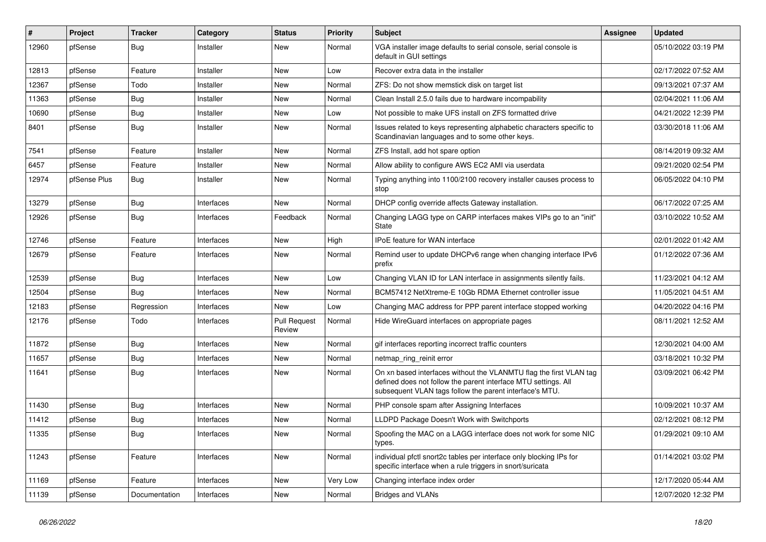| #     | Project      | <b>Tracker</b> | Category   | <b>Status</b>                 | <b>Priority</b> | <b>Subject</b>                                                                                                                                                                                  | <b>Assignee</b> | <b>Updated</b>      |
|-------|--------------|----------------|------------|-------------------------------|-----------------|-------------------------------------------------------------------------------------------------------------------------------------------------------------------------------------------------|-----------------|---------------------|
| 12960 | pfSense      | Bug            | Installer  | <b>New</b>                    | Normal          | VGA installer image defaults to serial console, serial console is<br>default in GUI settings                                                                                                    |                 | 05/10/2022 03:19 PM |
| 12813 | pfSense      | Feature        | Installer  | <b>New</b>                    | Low             | Recover extra data in the installer                                                                                                                                                             |                 | 02/17/2022 07:52 AM |
| 12367 | pfSense      | Todo           | Installer  | New                           | Normal          | ZFS: Do not show memstick disk on target list                                                                                                                                                   |                 | 09/13/2021 07:37 AM |
| 11363 | pfSense      | Bug            | Installer  | New                           | Normal          | Clean Install 2.5.0 fails due to hardware incompability                                                                                                                                         |                 | 02/04/2021 11:06 AM |
| 10690 | pfSense      | Bug            | Installer  | New                           | Low             | Not possible to make UFS install on ZFS formatted drive                                                                                                                                         |                 | 04/21/2022 12:39 PM |
| 8401  | pfSense      | Bug            | Installer  | New                           | Normal          | Issues related to keys representing alphabetic characters specific to<br>Scandinavian languages and to some other keys.                                                                         |                 | 03/30/2018 11:06 AM |
| 7541  | pfSense      | Feature        | Installer  | <b>New</b>                    | Normal          | ZFS Install, add hot spare option                                                                                                                                                               |                 | 08/14/2019 09:32 AM |
| 6457  | pfSense      | Feature        | Installer  | New                           | Normal          | Allow ability to configure AWS EC2 AMI via userdata                                                                                                                                             |                 | 09/21/2020 02:54 PM |
| 12974 | pfSense Plus | <b>Bug</b>     | Installer  | <b>New</b>                    | Normal          | Typing anything into 1100/2100 recovery installer causes process to<br>stop                                                                                                                     |                 | 06/05/2022 04:10 PM |
| 13279 | pfSense      | <b>Bug</b>     | Interfaces | <b>New</b>                    | Normal          | DHCP config override affects Gateway installation.                                                                                                                                              |                 | 06/17/2022 07:25 AM |
| 12926 | pfSense      | <b>Bug</b>     | Interfaces | Feedback                      | Normal          | Changing LAGG type on CARP interfaces makes VIPs go to an "init"<br>State                                                                                                                       |                 | 03/10/2022 10:52 AM |
| 12746 | pfSense      | Feature        | Interfaces | <b>New</b>                    | High            | IPoE feature for WAN interface                                                                                                                                                                  |                 | 02/01/2022 01:42 AM |
| 12679 | pfSense      | Feature        | Interfaces | New                           | Normal          | Remind user to update DHCPv6 range when changing interface IPv6<br>prefix                                                                                                                       |                 | 01/12/2022 07:36 AM |
| 12539 | pfSense      | Bug            | Interfaces | <b>New</b>                    | Low             | Changing VLAN ID for LAN interface in assignments silently fails.                                                                                                                               |                 | 11/23/2021 04:12 AM |
| 12504 | pfSense      | Bug            | Interfaces | New                           | Normal          | BCM57412 NetXtreme-E 10Gb RDMA Ethernet controller issue                                                                                                                                        |                 | 11/05/2021 04:51 AM |
| 12183 | pfSense      | Regression     | Interfaces | <b>New</b>                    | Low             | Changing MAC address for PPP parent interface stopped working                                                                                                                                   |                 | 04/20/2022 04:16 PM |
| 12176 | pfSense      | Todo           | Interfaces | <b>Pull Request</b><br>Review | Normal          | Hide WireGuard interfaces on appropriate pages                                                                                                                                                  |                 | 08/11/2021 12:52 AM |
| 11872 | pfSense      | Bug            | Interfaces | New                           | Normal          | gif interfaces reporting incorrect traffic counters                                                                                                                                             |                 | 12/30/2021 04:00 AM |
| 11657 | pfSense      | Bug            | Interfaces | <b>New</b>                    | Normal          | netmap ring reinit error                                                                                                                                                                        |                 | 03/18/2021 10:32 PM |
| 11641 | pfSense      | Bug            | Interfaces | New                           | Normal          | On xn based interfaces without the VLANMTU flag the first VLAN tag<br>defined does not follow the parent interface MTU settings. All<br>subsequent VLAN tags follow the parent interface's MTU. |                 | 03/09/2021 06:42 PM |
| 11430 | pfSense      | <b>Bug</b>     | Interfaces | <b>New</b>                    | Normal          | PHP console spam after Assigning Interfaces                                                                                                                                                     |                 | 10/09/2021 10:37 AM |
| 11412 | pfSense      | <b>Bug</b>     | Interfaces | New                           | Normal          | LLDPD Package Doesn't Work with Switchports                                                                                                                                                     |                 | 02/12/2021 08:12 PM |
| 11335 | pfSense      | <b>Bug</b>     | Interfaces | New                           | Normal          | Spoofing the MAC on a LAGG interface does not work for some NIC<br>types.                                                                                                                       |                 | 01/29/2021 09:10 AM |
| 11243 | pfSense      | Feature        | Interfaces | New                           | Normal          | individual pfctl snort2c tables per interface only blocking IPs for<br>specific interface when a rule triggers in snort/suricata                                                                |                 | 01/14/2021 03:02 PM |
| 11169 | pfSense      | Feature        | Interfaces | New                           | Very Low        | Changing interface index order                                                                                                                                                                  |                 | 12/17/2020 05:44 AM |
| 11139 | pfSense      | Documentation  | Interfaces | New                           | Normal          | <b>Bridges and VLANs</b>                                                                                                                                                                        |                 | 12/07/2020 12:32 PM |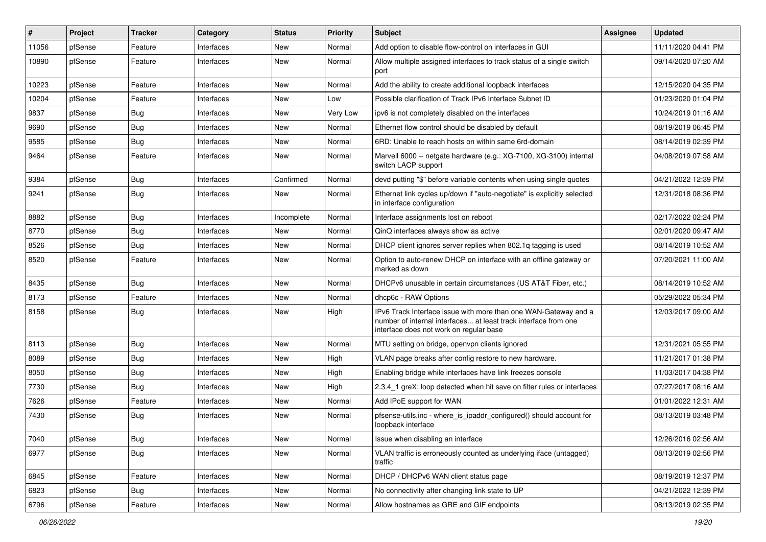| $\vert$ # | Project | <b>Tracker</b> | Category   | <b>Status</b> | <b>Priority</b> | Subject                                                                                                                                                                       | Assignee | <b>Updated</b>      |
|-----------|---------|----------------|------------|---------------|-----------------|-------------------------------------------------------------------------------------------------------------------------------------------------------------------------------|----------|---------------------|
| 11056     | pfSense | Feature        | Interfaces | New           | Normal          | Add option to disable flow-control on interfaces in GUI                                                                                                                       |          | 11/11/2020 04:41 PM |
| 10890     | pfSense | Feature        | Interfaces | New           | Normal          | Allow multiple assigned interfaces to track status of a single switch<br>port                                                                                                 |          | 09/14/2020 07:20 AM |
| 10223     | pfSense | Feature        | Interfaces | New           | Normal          | Add the ability to create additional loopback interfaces                                                                                                                      |          | 12/15/2020 04:35 PM |
| 10204     | pfSense | Feature        | Interfaces | New           | Low             | Possible clarification of Track IPv6 Interface Subnet ID                                                                                                                      |          | 01/23/2020 01:04 PM |
| 9837      | pfSense | <b>Bug</b>     | Interfaces | New           | Very Low        | ipv6 is not completely disabled on the interfaces                                                                                                                             |          | 10/24/2019 01:16 AM |
| 9690      | pfSense | <b>Bug</b>     | Interfaces | New           | Normal          | Ethernet flow control should be disabled by default                                                                                                                           |          | 08/19/2019 06:45 PM |
| 9585      | pfSense | <b>Bug</b>     | Interfaces | New           | Normal          | 6RD: Unable to reach hosts on within same 6rd-domain                                                                                                                          |          | 08/14/2019 02:39 PM |
| 9464      | pfSense | Feature        | Interfaces | New           | Normal          | Marvell 6000 -- netgate hardware (e.g.: XG-7100, XG-3100) internal<br>switch LACP support                                                                                     |          | 04/08/2019 07:58 AM |
| 9384      | pfSense | <b>Bug</b>     | Interfaces | Confirmed     | Normal          | devd putting "\$" before variable contents when using single quotes                                                                                                           |          | 04/21/2022 12:39 PM |
| 9241      | pfSense | <b>Bug</b>     | Interfaces | New           | Normal          | Ethernet link cycles up/down if "auto-negotiate" is explicitly selected<br>in interface configuration                                                                         |          | 12/31/2018 08:36 PM |
| 8882      | pfSense | <b>Bug</b>     | Interfaces | Incomplete    | Normal          | Interface assignments lost on reboot                                                                                                                                          |          | 02/17/2022 02:24 PM |
| 8770      | pfSense | <b>Bug</b>     | Interfaces | New           | Normal          | QinQ interfaces always show as active                                                                                                                                         |          | 02/01/2020 09:47 AM |
| 8526      | pfSense | <b>Bug</b>     | Interfaces | New           | Normal          | DHCP client ignores server replies when 802.1q tagging is used                                                                                                                |          | 08/14/2019 10:52 AM |
| 8520      | pfSense | Feature        | Interfaces | New           | Normal          | Option to auto-renew DHCP on interface with an offline gateway or<br>marked as down                                                                                           |          | 07/20/2021 11:00 AM |
| 8435      | pfSense | Bug            | Interfaces | New           | Normal          | DHCPv6 unusable in certain circumstances (US AT&T Fiber, etc.)                                                                                                                |          | 08/14/2019 10:52 AM |
| 8173      | pfSense | Feature        | Interfaces | New           | Normal          | dhcp6c - RAW Options                                                                                                                                                          |          | 05/29/2022 05:34 PM |
| 8158      | pfSense | <b>Bug</b>     | Interfaces | New           | High            | IPv6 Track Interface issue with more than one WAN-Gateway and a<br>number of internal interfaces at least track interface from one<br>interface does not work on regular base |          | 12/03/2017 09:00 AM |
| 8113      | pfSense | <b>Bug</b>     | Interfaces | <b>New</b>    | Normal          | MTU setting on bridge, openvpn clients ignored                                                                                                                                |          | 12/31/2021 05:55 PM |
| 8089      | pfSense | <b>Bug</b>     | Interfaces | New           | High            | VLAN page breaks after config restore to new hardware.                                                                                                                        |          | 11/21/2017 01:38 PM |
| 8050      | pfSense | <b>Bug</b>     | Interfaces | New           | High            | Enabling bridge while interfaces have link freezes console                                                                                                                    |          | 11/03/2017 04:38 PM |
| 7730      | pfSense | Bug            | Interfaces | New           | High            | 2.3.4 1 greX: loop detected when hit save on filter rules or interfaces                                                                                                       |          | 07/27/2017 08:16 AM |
| 7626      | pfSense | Feature        | Interfaces | New           | Normal          | Add IPoE support for WAN                                                                                                                                                      |          | 01/01/2022 12:31 AM |
| 7430      | pfSense | <b>Bug</b>     | Interfaces | New           | Normal          | pfsense-utils.inc - where_is_ipaddr_configured() should account for<br>loopback interface                                                                                     |          | 08/13/2019 03:48 PM |
| 7040      | pfSense | Bug            | Interfaces | New           | Normal          | Issue when disabling an interface                                                                                                                                             |          | 12/26/2016 02:56 AM |
| 6977      | pfSense | <b>Bug</b>     | Interfaces | New           | Normal          | VLAN traffic is erroneously counted as underlying iface (untagged)<br>traffic                                                                                                 |          | 08/13/2019 02:56 PM |
| 6845      | pfSense | Feature        | Interfaces | New           | Normal          | DHCP / DHCPv6 WAN client status page                                                                                                                                          |          | 08/19/2019 12:37 PM |
| 6823      | pfSense | Bug            | Interfaces | New           | Normal          | No connectivity after changing link state to UP                                                                                                                               |          | 04/21/2022 12:39 PM |
| 6796      | pfSense | Feature        | Interfaces | New           | Normal          | Allow hostnames as GRE and GIF endpoints                                                                                                                                      |          | 08/13/2019 02:35 PM |